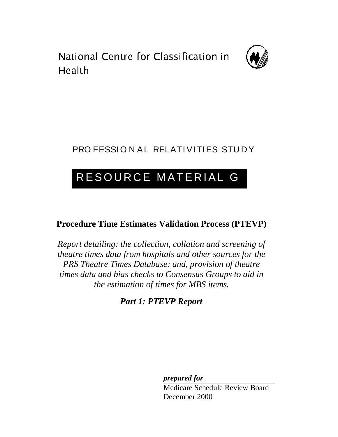. . . . . . . . .<br>Lle el th



### PRO FESSION AL RELATIVITIES STUDY

### RESOURCE MATERIAL G

### **Procedure Time Estimates Validation Process (PTEVP)**

*Report detailing: the collection, collation and screening of theatre times data from hospitals and other sources for the PRS Theatre Times Database: and, provision of theatre times data and bias checks to Consensus Groups to aid in the estimation of times for MBS items.*

*Part 1: PTEVP Report*

*prepared for*

Medicare Schedule Review Board December 2000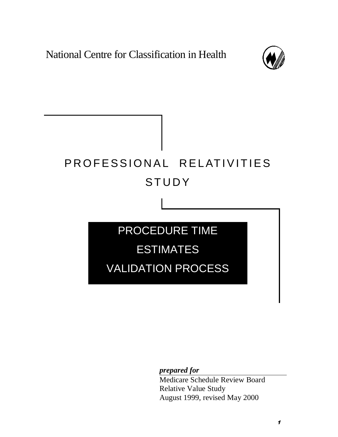National Centre for Classification in Health



# PROFESSIONAL RELATIVITIES STUDY PROCEDURE TIME

ESTIMATES

VALIDATION PROCESS

*prepared for*

Medicare Schedule Review Board Relative Value Study August 1999, revised May 2000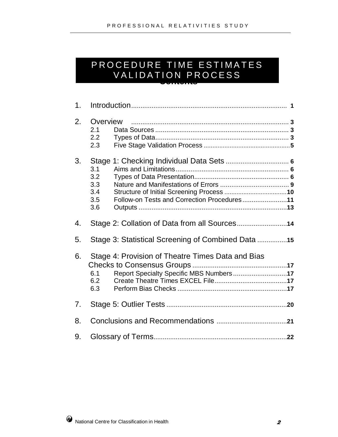#### **Contents** PROCEDURE TIME ESTIMATES VALIDATION PROCESS

| 1 <sub>1</sub> |                                                                                                                   |
|----------------|-------------------------------------------------------------------------------------------------------------------|
| 2.             | Overview<br>2.1<br>2.2<br>2.3                                                                                     |
| 3.             | 3.1<br>3.2<br>3.3<br>3.4<br>3.5<br>Follow-on Tests and Correction Procedures11<br>3.6                             |
| 4.             |                                                                                                                   |
| 5.             | Stage 3: Statistical Screening of Combined Data                                                                   |
| 6.             | Stage 4: Provision of Theatre Times Data and Bias<br>Report Specialty Specific MBS Numbers17<br>6.1<br>6.2<br>6.3 |
| 7 <sub>1</sub> |                                                                                                                   |
| 8.             |                                                                                                                   |
| 9.             |                                                                                                                   |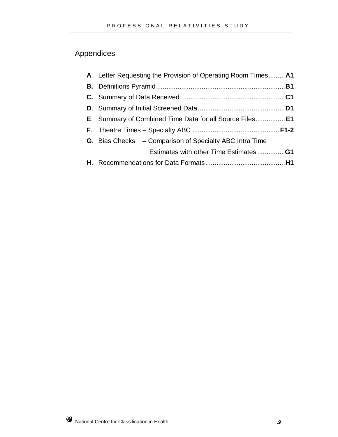### Appendices

| E. Summary of Combined Time Data for all Source Files E1<br><b>G.</b> Bias Checks – Comparison of Specialty ABC Intra Time<br>Estimates with other Time Estimates G1 | A. Letter Requesting the Provision of Operating Room Times A1 |
|----------------------------------------------------------------------------------------------------------------------------------------------------------------------|---------------------------------------------------------------|
|                                                                                                                                                                      |                                                               |
|                                                                                                                                                                      |                                                               |
|                                                                                                                                                                      |                                                               |
|                                                                                                                                                                      |                                                               |
|                                                                                                                                                                      |                                                               |
|                                                                                                                                                                      |                                                               |
|                                                                                                                                                                      |                                                               |
|                                                                                                                                                                      |                                                               |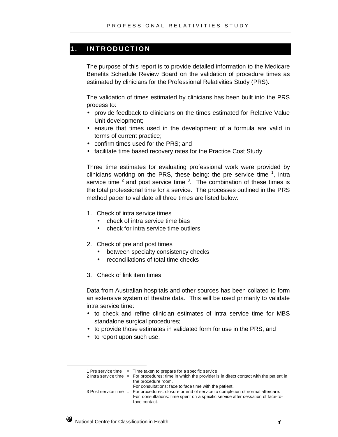#### **1. INTRODUCTION**

The purpose of this report is to provide detailed information to the Medicare Benefits Schedule Review Board on the validation of procedure times as estimated by clinicians for the Professional Relativities Study (PRS).

The validation of times estimated by clinicians has been built into the PRS process to:

- provide feedback to clinicians on the times estimated for Relative Value Unit development;
- ensure that times used in the development of a formula are valid in terms of current practice;
- confirm times used for the PRS; and
- facilitate time based recovery rates for the Practice Cost Study

Three time estimates for evaluating professional work were provided by clinicians working on the PRS, these being: the pre service time  $1$ , intra service time  $^2$  and post service time  $^3$ . The combination of these times is the total professional time for a service. The processes outlined in the PRS method paper to validate all three times are listed below:

- 1. Check of intra service times
	- check of intra service time bias
	- check for intra service time outliers
- 2. Check of pre and post times
	- between specialty consistency checks
	- reconciliations of total time checks
- 3. Check of link item times

Data from Australian hospitals and other sources has been collated to form an extensive system of theatre data. This will be used primarily to validate intra service time:

- to check and refine clinician estimates of intra service time for MBS standalone surgical procedures;
- to provide those estimates in validated form for use in the PRS, and
- to report upon such use.

- For consultations: face to face time with the patient.
- 3 Post service time = For procedures: closure or end of service to completion of normal aftercare. For consultations: time spent on a specific service after cessation of face-toface contact.



<sup>1</sup> Pre service time  $=$  Time taken to prepare for a specific service

<sup>2</sup> Intra service time = For procedures: time in which the provider is in direct contact with the patient in the procedure room.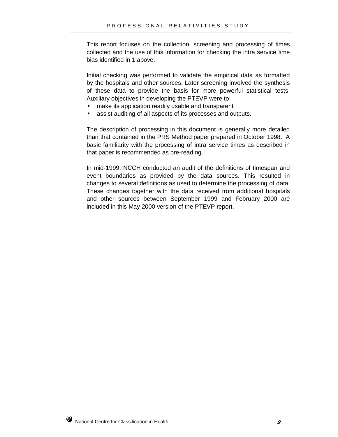This report focuses on the collection, screening and processing of times collected and the use of this information for checking the intra service time bias identified in 1 above.

Initial checking was performed to validate the empirical data as formatted by the hospitals and other sources. Later screening involved the synthesis of these data to provide the basis for more powerful statistical tests. Auxiliary objectives in developing the PTEVP were to:

- make its application readily usable and transparent
- assist auditing of all aspects of its processes and outputs.

The description of processing in this document is generally more detailed than that contained in the PRS Method paper prepared in October 1998. A basic familiarity with the processing of intra service times as described in that paper is recommended as pre-reading.

In mid-1999, NCCH conducted an audit of the definitions of timespan and event boundaries as provided by the data sources. This resulted in changes to several definitions as used to determine the processing of data. These changes together with the data received from additional hospitals and other sources between September 1999 and February 2000 are included in this May 2000 version of the PTEVP report.

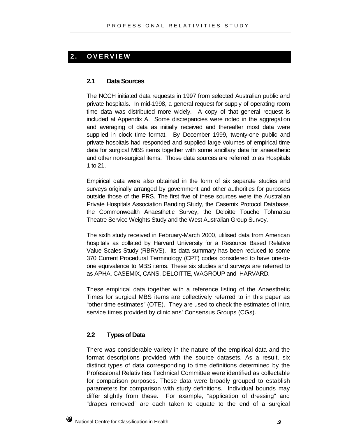#### **2. OVERVIEW**

#### **2.1 Data Sources**

The NCCH initiated data requests in 1997 from selected Australian public and private hospitals. In mid-1998, a general request for supply of operating room time data was distributed more widely. A copy of that general request is included at Appendix A. Some discrepancies were noted in the aggregation and averaging of data as initially received and thereafter most data were supplied in clock time format. By December 1999, twenty-one public and private hospitals had responded and supplied large volumes of empirical time data for surgical MBS items together with some ancillary data for anaesthetic and other non-surgical items. Those data sources are referred to as Hospitals 1 to 21.

Empirical data were also obtained in the form of six separate studies and surveys originally arranged by government and other authorities for purposes outside those of the PRS. The first five of these sources were the Australian Private Hospitals Association Banding Study, the Casemix Protocol Database, the Commonwealth Anaesthetic Survey, the Deloitte Touche Tohmatsu Theatre Service Weights Study and the West Australian Group Survey.

The sixth study received in February-March 2000, utilised data from American hospitals as collated by Harvard University for a Resource Based Relative Value Scales Study (RBRVS). Its data summary has been reduced to some 370 Current Procedural Terminology (CPT) codes considered to have one-toone equivalence to MBS items. These six studies and surveys are referred to as APHA, CASEMIX, CANS, DELOITTE, WAGROUP and HARVARD.

These empirical data together with a reference listing of the Anaesthetic Times for surgical MBS items are collectively referred to in this paper as "other time estimates" (OTE). They are used to check the estimates of intra service times provided by clinicians' Consensus Groups (CGs).

#### **2.2 Types of Data**

There was considerable variety in the nature of the empirical data and the format descriptions provided with the source datasets. As a result, six distinct types of data corresponding to time definitions determined by the Professional Relativities Technical Committee were identified as collectable for comparison purposes. These data were broadly grouped to establish parameters for comparison with study definitions. Individual bounds may differ slightly from these. For example, "application of dressing" and "drapes removed" are each taken to equate to the end of a surgical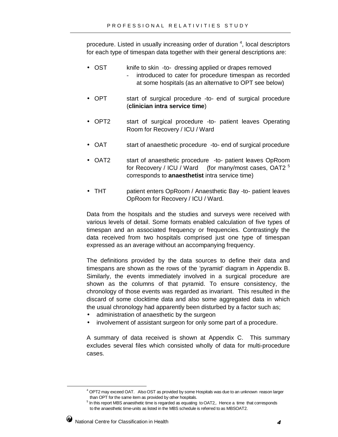procedure. Listed in usually increasing order of duration  $4$ , local descriptors for each type of timespan data together with their general descriptions are:

- OST knife to skin -to- dressing applied or drapes removed introduced to cater for procedure timespan as recorded at some hospitals (as an alternative to OPT see below)
- OPT start of surgical procedure -to- end of surgical procedure (**clinician intra service time**)
- OPT2 start of surgical procedure -to- patient leaves Operating Room for Recovery / ICU / Ward
- OAT start of anaesthetic procedure -to- end of surgical procedure
- OAT2 start of anaesthetic procedure -to- patient leaves OpRoom for Recovery / ICU / Ward (for many/most cases, OAT2<sup>5</sup> corresponds to **anaesthetist** intra service time)
- THT patient enters OpRoom / Anaesthetic Bay -to- patient leaves OpRoom for Recovery / ICU / Ward.

Data from the hospitals and the studies and surveys were received with various levels of detail. Some formats enabled calculation of five types of timespan and an associated frequency or frequencies. Contrastingly the data received from two hospitals comprised just one type of timespan expressed as an average without an accompanying frequency.

The definitions provided by the data sources to define their data and timespans are shown as the rows of the 'pyramid' diagram in Appendix B. Similarly, the events immediately involved in a surgical procedure are shown as the columns of that pyramid. To ensure consistency, the chronology of those events was regarded as invariant. This resulted in the discard of some clocktime data and also some aggregated data in which the usual chronology had apparently been disturbed by a factor such as;

- administration of anaesthetic by the surgeon
- involvement of assistant surgeon for only some part of a procedure.

A summary of data received is shown at Appendix C. This summary excludes several files which consisted wholly of data for multi-procedure cases.

 $5$  In this report MBS anaesthetic time is regarded as equating to OAT2,. Hence a time that corresponds to the anaesthetic time-units as listed in the MBS schedule is referred to as MBSOAT2.



<sup>4</sup> OPT2 may exceed OAT. Also OST as provided by some Hospitals was due to an unknown reason larger than OPT for the same item as provided by other hospitals.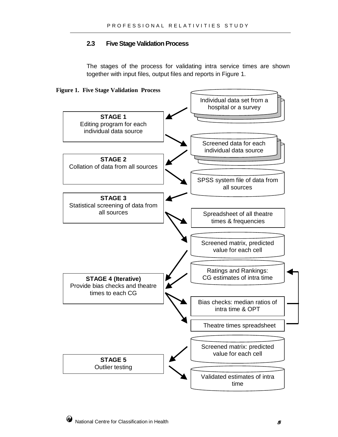#### **2.3 Five Stage Validation Process**

The stages of the process for validating intra service times are shown together with input files, output files and reports in Figure 1.



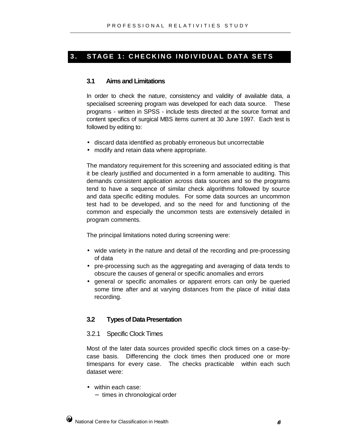#### **3. STAGE 1: CHECKING INDIVIDUAL DATA SETS**

#### **3.1 Aims and Limitations**

In order to check the nature, consistency and validity of available data, a specialised screening program was developed for each data source. These programs - written in SPSS - include tests directed at the source format and content specifics of surgical MBS items current at 30 June 1997. Each test is followed by editing to:

- discard data identified as probably erroneous but uncorrectable
- modify and retain data where appropriate.

The mandatory requirement for this screening and associated editing is that it be clearly justified and documented in a form amenable to auditing. This demands consistent application across data sources and so the programs tend to have a sequence of similar check algorithms followed by source and data specific editing modules. For some data sources an uncommon test had to be developed, and so the need for and functioning of the common and especially the uncommon tests are extensively detailed in program comments.

The principal limitations noted during screening were:

- wide variety in the nature and detail of the recording and pre-processing of data
- pre-processing such as the aggregating and averaging of data tends to obscure the causes of general or specific anomalies and errors
- general or specific anomalies or apparent errors can only be queried some time after and at varying distances from the place of initial data recording.

#### **3.2 Types of Data Presentation**

#### 3.2.1 Specific Clock Times

Most of the later data sources provided specific clock times on a case-bycase basis. Differencing the clock times then produced one or more timespans for every case. The checks practicable within each such dataset were:

- within each case:
	- − times in chronological order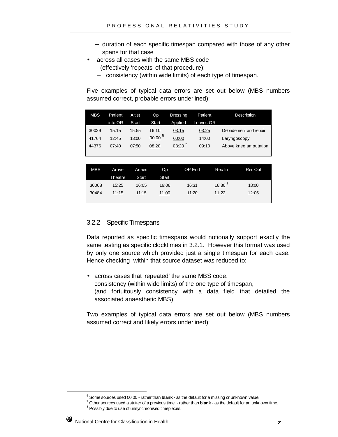- − duration of each specific timespan compared with those of any other spans for that case
- across all cases with the same MBS code (effectively 'repeats' of that procedure):
	- − consistency (within wide limits) of each type of timespan.

Five examples of typical data errors are set out below (MBS numbers assumed correct, probable errors underlined):

| MBS   | Patient | A'tist | Op          | Dressing | Patient   | <b>Description</b>     |
|-------|---------|--------|-------------|----------|-----------|------------------------|
|       | into OR | Start  | Start       | Applied  | Leaves OR |                        |
| 30029 | 15:15   | 15:55  | 16:10       | 03:15    | 03:25     | Debridement and repair |
| 41764 | 12:45   | 13:00  | $00:00^{6}$ | 00:00    | 14:00     | Laryngoscopy           |
| 44376 | 07:40   | 07:50  | 08:20       | 08:20'   | 09:10     | Above knee amputation  |
|       |         |        |             |          |           |                        |

| <b>MBS</b> | Arrive  | <b>Anaes</b> | Op    | OP End | Rec In      | Rec Out |
|------------|---------|--------------|-------|--------|-------------|---------|
|            | Theatre | Start        | Start |        |             |         |
| 30068      | 15:25   | 16:05        | 16:06 | 16:31  | $16:30^{8}$ | 18:00   |
| 30484      | 11:15   | 11:15        | 11.00 | 11:20  | 11:22       | 12:05   |
|            |         |              |       |        |             |         |

#### 3.2.2 Specific Timespans

Data reported as specific timespans would notionally support exactly the same testing as specific clocktimes in 3.2.1. However this format was used by only one source which provided just a single timespan for each case. Hence checking within that source dataset was reduced to:

• across cases that 'repeated' the same MBS code: consistency (within wide limits) of the one type of timespan, (and fortuitously consistency with a data field that detailed the associated anaesthetic MBS).

Two examples of typical data errors are set out below (MBS numbers assumed correct and likely errors underlined):

<sup>&</sup>lt;sup>8</sup> Possibly due to use of unsynchronised timepieces.



<sup>6</sup> Some sources used 00:00 - rather than **blank -** as the default for a missing or unknown value.

<sup>7</sup> Other sources used a stutter of a previous time - rather than **blank** - as the default for an unknown time.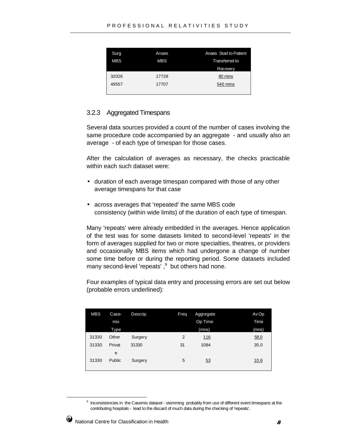| Surg       | Anaes      | Anaes Start to Patient |
|------------|------------|------------------------|
| <b>MBS</b> | <b>MBS</b> | Transferred to         |
|            |            | Recovery               |
| 32026      | 17728      | 80 mins                |
| 49557      | 17707      | 540 mins               |
|            |            |                        |

#### 3.2.3 Aggregated Timespans

Several data sources provided a count of the number of cases involving the same procedure code accompanied by an aggregate - and usually also an average - of each type of timespan for those cases.

After the calculation of averages as necessary, the checks practicable within each such dataset were:

- duration of each average timespan compared with those of any other average timespans for that case
- across averages that 'repeated' the same MBS code consistency (within wide limits) of the duration of each type of timespan.

Many 'repeats' were already embedded in the averages. Hence application of the test was for some datasets limited to second-level 'repeats' in the form of averages supplied for two or more specialties, theatres, or providers and occasionally MBS items which had undergone a change of number some time before or during the reporting period. Some datasets included many second-level 'repeats', $9$  but others had none.

Four examples of typical data entry and processing errors are set out below (probable errors underlined):

| <b>MBS</b> | Case-  | Descrip. | Freq | Aggregate  | Av Op |
|------------|--------|----------|------|------------|-------|
|            | mix    |          |      | Op Time    | Time  |
|            | Type   |          |      | (mns)      | (mns) |
| 31330      | Other  | Surgery  | 2    | <u>116</u> | 58.0  |
| 31330      | Privat | 31330    | 31   | 1084       | 35.0  |
|            | e      |          |      |            |       |
| 31330      | Public | Surgery  | 5    | 53         | 10.6  |
|            |        |          |      |            |       |

<sup>&</sup>lt;sup>9</sup> Inconsistencies in the Casemix dataset - stemming probably from use of different event timespans at the contributing hospitals - lead to the discard of much data during the checking of 'repeats'.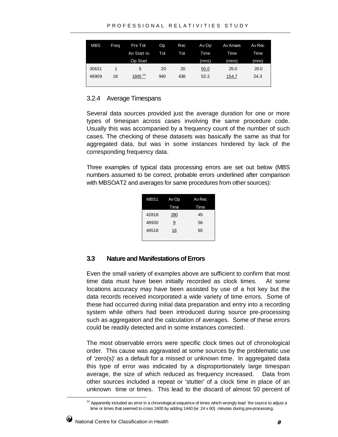| MBS   | Freg | Pre Tot:           | Op  | Rec | Av Op | Av Anaes | Av Rec |
|-------|------|--------------------|-----|-----|-------|----------|--------|
|       |      | An Start to        | Tot | Tot | Time  | Time     | Time   |
|       |      | Op Start           |     |     | (mns) | (mins)   | (mns)  |
| 30631 | 1    | 5                  | 20  | 20  | 50.0  | 25.0     | 20.0   |
| 48909 | 18   | 1845 <sup>10</sup> | 940 | 438 | 52.2  | 154.7    | 24.3   |
|       |      |                    |     |     |       |          |        |

#### 3.2.4 Average Timespans

Several data sources provided just the average duration for one or more types of timespan across cases involving the same procedure code. Usually this was accompanied by a frequency count of the number of such cases. The checking of these datasets was basically the same as that for aggregated data, but was in some instances hindered by lack of the corresponding frequency data.

Three examples of typical data processing errors are set out below (MBS numbers assumed to be correct, probable errors underlined after comparison with MBSOAT2 and averages for same procedures from other sources):

| MBS1  | Av Op | Av Rec |
|-------|-------|--------|
|       | Time  | Time   |
| 42818 | 280   | 45     |
| 48930 | 9     | 56     |
| 49518 | 16    | 65     |
|       |       |        |

#### **3.3 Nature and Manifestations of Errors**

Even the small variety of examples above are sufficient to confirm that most time data must have been initially recorded as clock times. At some locations accuracy may have been assisted by use of a hot key but the data records received incorporated a wide variety of time errors. Some of these had occurred during initial data preparation and entry into a recording system while others had been introduced during source pre-processing such as aggregation and the calculation of averages. Some of these errors could be readily detected and in some instances corrected.

The most observable errors were specific clock times out of chronological order. This cause was aggravated at some sources by the problematic use of 'zero(s)' as a default for a missed or unknown time. In aggregated data this type of error was indicated by a disproportionately large timespan average, the size of which reduced as frequency increased. Data from other sources included a repeat or 'stutter' of a clock time in place of an unknown time or times. This lead to the discard of almost 50 percent of

 $10$  Apparently included an error in a chronological sequence of times which wrongly lead the source to adjust a time or times that seemed to cross 2400 by adding 1440 (ie: 24 x 60) minutes during pre-processing.

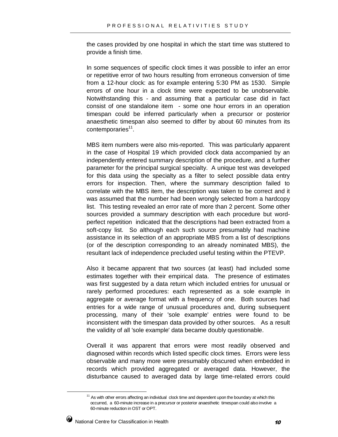the cases provided by one hospital in which the start time was stuttered to provide a finish time.

In some sequences of specific clock times it was possible to infer an error or repetitive error of two hours resulting from erroneous conversion of time from a 12-hour clock: as for example entering 5:30 PM as 1530. Simple errors of one hour in a clock time were expected to be unobservable. Notwithstanding this - and assuming that a particular case did in fact consist of one standalone item - some one hour errors in an operation timespan could be inferred particularly when a precursor or posterior anaesthetic timespan also seemed to differ by about 60 minutes from its contemporaries<sup>11</sup>.

MBS item numbers were also mis-reported. This was particularly apparent in the case of Hospital 19 which provided clock data accompanied by an independently entered summary description of the procedure, and a further parameter for the principal surgical specialty. A unique test was developed for this data using the specialty as a filter to select possible data entry errors for inspection. Then, where the summary description failed to correlate with the MBS item, the description was taken to be correct and it was assumed that the number had been wrongly selected from a hardcopy list. This testing revealed an error rate of more than 2 percent. Some other sources provided a summary description with each procedure but wordperfect repetition indicated that the descriptions had been extracted from a soft-copy list. So although each such source presumably had machine assistance in its selection of an appropriate MBS from a list of descriptions (or of the description corresponding to an already nominated MBS), the resultant lack of independence precluded useful testing within the PTEVP.

Also it became apparent that two sources (at least) had included some estimates together with their empirical data. The presence of estimates was first suggested by a data return which included entries for unusual or rarely performed procedures: each represented as a sole example in aggregate or average format with a frequency of one. Both sources had entries for a wide range of unusual procedures and, during subsequent processing, many of their 'sole example' entries were found to be inconsistent with the timespan data provided by other sources. As a result the validity of all 'sole example' data became doubly questionable.

Overall it was apparent that errors were most readily observed and diagnosed within records which listed specific clock times. Errors were less observable and many more were presumably obscured when embedded in records which provided aggregated or averaged data. However, the disturbance caused to averaged data by large time-related errors could

 $11$  As with other errors affecting an individual clock time and dependent upon the boundary at which this occurred, a 60-minute increase in a precursor or posterior anaesthetic timespan could also involve a 60-minute reduction in OST or OPT.

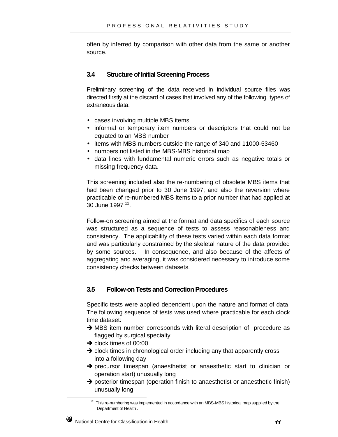often by inferred by comparison with other data from the same or another source.

#### **3.4 Structure of Initial Screening Process**

Preliminary screening of the data received in individual source files was directed firstly at the discard of cases that involved any of the following types of extraneous data:

- cases involving multiple MBS items
- informal or temporary item numbers or descriptors that could not be equated to an MBS number
- items with MBS numbers outside the range of 340 and 11000-53460
- numbers not listed in the MBS-MBS historical map
- data lines with fundamental numeric errors such as negative totals or missing frequency data.

This screening included also the re-numbering of obsolete MBS items that had been changed prior to 30 June 1997; and also the reversion where practicable of re-numbered MBS items to a prior number that had applied at 30 June 1997 12.

Follow-on screening aimed at the format and data specifics of each source was structured as a sequence of tests to assess reasonableness and consistency. The applicability of these tests varied within each data format and was particularly constrained by the skeletal nature of the data provided by some sources. In consequence, and also because of the affects of aggregating and averaging, it was considered necessary to introduce some consistency checks between datasets.

#### **3.5 Follow-on Tests and Correction Procedures**

Specific tests were applied dependent upon the nature and format of data. The following sequence of tests was used where practicable for each clock time dataset:

- $\rightarrow$  MBS item number corresponds with literal description of procedure as flagged by surgical specialty
- $\rightarrow$  clock times of 00:00
- $\rightarrow$  clock times in chronological order including any that apparently cross into a following day
- $\rightarrow$  precursor timespan (anaesthetist or anaesthetic start to clinician or operation start) unusually long
- → posterior timespan (operation finish to anaesthetist or anaesthetic finish) unusually long

 $12$  This re-numbering was implemented in accordance with an MBS-MBS historical map supplied by the Department of Health .

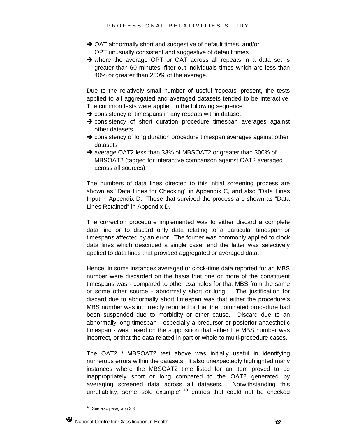- → OAT abnormally short and suggestive of default times, and/or OPT unusually consistent and suggestive of default times
- where the average OPT or OAT across all repeats in a data set is greater than 60 minutes, filter out individuals times which are less than 40% or greater than 250% of the average.

Due to the relatively small number of useful 'repeats' present, the tests applied to all aggregated and averaged datasets tended to be interactive. The common tests were applied in the following sequence:

- $\rightarrow$  consistency of timespans in any repeats within dataset
- $\rightarrow$  consistency of short duration procedure timespan averages against other datasets
- $\rightarrow$  consistency of long duration procedure timespan averages against other datasets
- → average OAT2 less than 33% of MBSOAT2 or greater than 300% of MBSOAT2 (tagged for interactive comparison against OAT2 averaged across all sources).

The numbers of data lines directed to this initial screening process are shown as "Data Lines for Checking" in Appendix C, and also "Data Lines Input in Appendix D. Those that survived the process are shown as "Data Lines Retained" in Appendix D.

The correction procedure implemented was to either discard a complete data line or to discard only data relating to a particular timespan or timespans affected by an error. The former was commonly applied to clock data lines which described a single case, and the latter was selectively applied to data lines that provided aggregated or averaged data.

Hence, in some instances averaged or clock-time data reported for an MBS number were discarded on the basis that one or more of the constituent timespans was - compared to other examples for that MBS from the same or some other source - abnormally short or long. The justification for discard due to abnormally short timespan was that either the procedure's MBS number was incorrectly reported or that the nominated procedure had been suspended due to morbidity or other cause. Discard due to an abnormally long timespan - especially a precursor or posterior anaesthetic timespan - was based on the supposition that either the MBS number was incorrect, or that the data related in part or whole to multi-procedure cases.

The OAT2 / MBSOAT2 test above was initially useful in identifying numerous errors within the datasets. It also unexpectedly highlighted many instances where the MBSOAT2 time listed for an item proved to be inappropriately short or long compared to the OAT2 generated by averaging screened data across all datasets. Notwithstanding this unreliability, some 'sole example'  $13$  entries that could not be checked

<sup>&</sup>lt;sup>13</sup> See also paragraph 3.3.

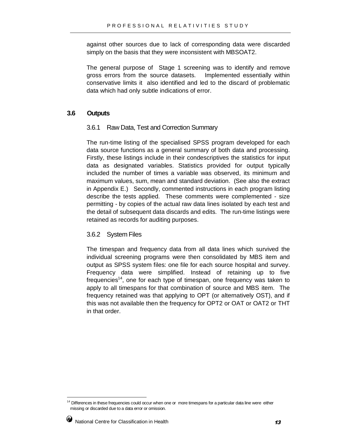against other sources due to lack of corresponding data were discarded simply on the basis that they were inconsistent with MBSOAT2.

The general purpose of Stage 1 screening was to identify and remove gross errors from the source datasets. Implemented essentially within conservative limits it also identified and led to the discard of problematic data which had only subtle indications of error.

#### **3.6 Outputs**

#### 3.6.1 Raw Data, Test and Correction Summary

The run-time listing of the specialised SPSS program developed for each data source functions as a general summary of both data and processing. Firstly, these listings include in their condescriptives the statistics for input data as designated variables. Statistics provided for output typically included the number of times a variable was observed, its minimum and maximum values, sum, mean and standard deviation. (See also the extract in Appendix E.) Secondly, commented instructions in each program listing describe the tests applied. These comments were complemented - size permitting - by copies of the actual raw data lines isolated by each test and the detail of subsequent data discards and edits. The run-time listings were retained as records for auditing purposes.

#### 3.6.2 System Files

The timespan and frequency data from all data lines which survived the individual screening programs were then consolidated by MBS item and output as SPSS system files: one file for each source hospital and survey. Frequency data were simplified. Instead of retaining up to five frequencies<sup>14</sup>, one for each type of timespan, one frequency was taken to apply to all timespans for that combination of source and MBS item. The frequency retained was that applying to OPT (or alternatively OST), and if this was not available then the frequency for OPT2 or OAT or OAT2 or THT in that order.

<sup>&</sup>lt;sup>14</sup> Differences in these frequencies could occur when one or more timespans for a particular data line were either missing or discarded due to a data error or omission.

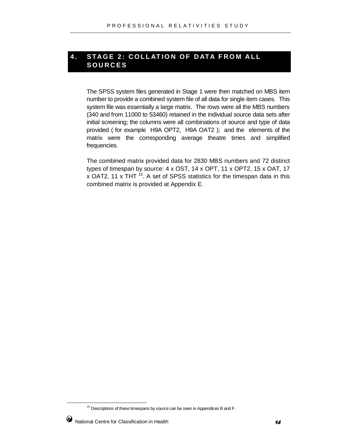#### **4. STAGE 2: COLLATION OF DATA FROM ALL SOURCES**

The SPSS system files generated in Stage 1 were then matched on MBS item number to provide a combined system file of all data for single item cases. This system file was essentially a large matrix. The rows were all the MBS numbers (340 and from 11000 to 53460) retained in the individual source data sets after initial screening; the columns were all combinations of source and type of data provided ( for example H9A OPT2, H9A OAT2 ); and the elements of the matrix were the corresponding average theatre times and simplified frequencies.

The combined matrix provided data for 2830 MBS numbers and 72 distinct types of timespan by source: 4 x OST, 14 x OPT, 11 x OPT2, 15 x OAT, 17  $x$  OAT2, 11  $x$  THT  $^{15}$ . A set of SPSS statistics for the timespan data in this combined matrix is provided at Appendix E.

<sup>&</sup>lt;sup>15</sup> Descriptions of these timespans by source can be seen in Appendices B and F.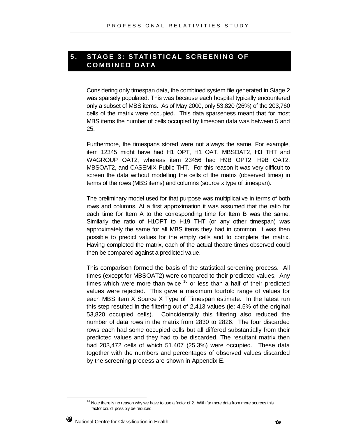#### **5. STAGE 3: STATISTICAL SCREENING OF COMBINED DATA**

Considering only timespan data, the combined system file generated in Stage 2 was sparsely populated. This was because each hospital typically encountered only a subset of MBS items. As of May 2000, only 53,820 (26%) of the 203,760 cells of the matrix were occupied. This data sparseness meant that for most MBS items the number of cells occupied by timespan data was between 5 and 25.

Furthermore, the timespans stored were not always the same. For example, item 12345 might have had H1 OPT, H1 OAT, MBSOAT2, H3 THT and WAGROUP OAT2; whereas item 23456 had H9B OPT2, H9B OAT2, MBSOAT2, and CASEMIX Public THT. For this reason it was very difficult to screen the data without modelling the cells of the matrix (observed times) in terms of the rows (MBS items) and columns (source x type of timespan).

The preliminary model used for that purpose was multiplicative in terms of both rows and columns. At a first approximation it was assumed that the ratio for each time for Item A to the corresponding time for Item B was the same. Similarly the ratio of H1OPT to H19 THT (or any other timespan) was approximately the same for all MBS items they had in common. It was then possible to predict values for the empty cells and to complete the matrix. Having completed the matrix, each of the actual theatre times observed could then be compared against a predicted value.

This comparison formed the basis of the statistical screening process. All times (except for MBSOAT2) were compared to their predicted values. Any times which were more than twice  $16$  or less than a half of their predicted values were rejected. This gave a maximum fourfold range of values for each MBS item X Source X Type of Timespan estimate. In the latest run this step resulted in the filtering out of 2,413 values (ie: 4.5% of the original 53,820 occupied cells). Coincidentally this filtering also reduced the number of data rows in the matrix from 2830 to 2826. The four discarded rows each had some occupied cells but all differed substantially from their predicted values and they had to be discarded. The resultant matrix then had 203,472 cells of which 51,407 (25.3%) were occupied. These data together with the numbers and percentages of observed values discarded by the screening process are shown in Appendix E.

 $16$  Note there is no reason why we have to use a factor of 2. With far more data from more sources this factor could possibly be reduced.

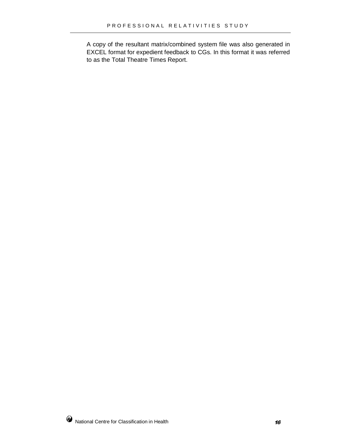A copy of the resultant matrix/combined system file was also generated in EXCEL format for expedient feedback to CGs. In this format it was referred to as the Total Theatre Times Report.

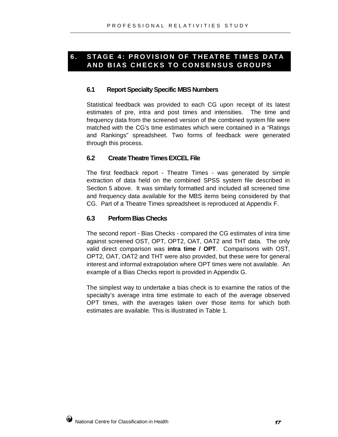#### **6. STAGE 4: PROVISION OF THEATRE TIMES DATA AND BIAS CHECKS TO CONSENSUS GROUPS**

#### **6.1 Report Specialty Specific MBS Numbers**

Statistical feedback was provided to each CG upon receipt of its latest estimates of pre, intra and post times and intensities. The time and frequency data from the screened version of the combined system file were matched with the CG's time estimates which were contained in a "Ratings and Rankings" spreadsheet. Two forms of feedback were generated through this process.

#### **6.2 Create Theatre Times EXCEL File**

The first feedback report - Theatre Times - was generated by simple extraction of data held on the combined SPSS system file described in Section 5 above. It was similarly formatted and included all screened time and frequency data available for the MBS items being considered by that CG. Part of a Theatre Times spreadsheet is reproduced at Appendix F.

#### **6.3 Perform Bias Checks**

The second report - Bias Checks - compared the CG estimates of intra time against screened OST, OPT, OPT2, OAT, OAT2 and THT data. The only valid direct comparison was **intra time / OPT**. Comparisons with OST, OPT2, OAT, OAT2 and THT were also provided, but these were for general interest and informal extrapolation where OPT times were not available. An example of a Bias Checks report is provided in Appendix G.

The simplest way to undertake a bias check is to examine the ratios of the specialty's average intra time estimate to each of the average observed OPT times, with the averages taken over those items for which both estimates are available. This is illustrated in Table 1.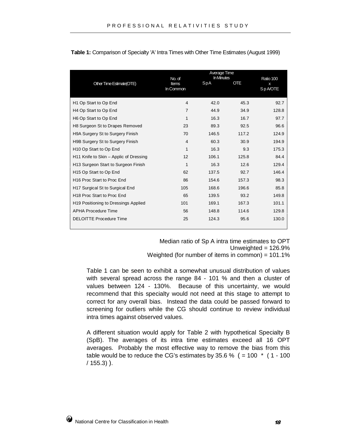| Other Time Estimate(OTE)                | No. of<br>Items<br>In Common | Average Time<br>In Minutes<br>SpA | <b>OTE</b> | Ratio 100<br>Sp A/OTE |
|-----------------------------------------|------------------------------|-----------------------------------|------------|-----------------------|
| H <sub>1</sub> Op Start to Op End       | 4                            | 42.0                              | 45.3       | 92.7                  |
| H <sub>4</sub> Op Start to Op End       | $\overline{7}$               | 44.9                              | 34.9       | 128.8                 |
| H6 Op Start to Op End                   | 1                            | 16.3                              | 16.7       | 97.7                  |
| H8 Surgeon St to Drapes Removed         | 23                           | 89.3                              | 92.5       | 96.6                  |
| <b>H9A Surgery St to Surgery Finish</b> | 70                           | 146.5                             | 117.2      | 124.9                 |
| H9B Surgery St to Surgery Finish        | 4                            | 60.3                              | 30.9       | 194.9                 |
| H <sub>10</sub> Op Start to Op End      | 1                            | 16.3                              | 9.3        | 175.3                 |
| H11 Knife to Skin – Applic of Dressing  | 12                           | 106.1                             | 125.8      | 84.4                  |
| H13 Surgeon Start to Surgeon Finish     | 1                            | 16.3                              | 12.6       | 129.4                 |
| H <sub>15</sub> Op Start to Op End      | 62                           | 137.5                             | 92.7       | 146.4                 |
| H <sub>16</sub> Proc Start to Proc End  | 86                           | 154.6                             | 157.3      | 98.3                  |
| H17 Surgical St to Surgical End         | 105                          | 168.6                             | 196.6      | 85.8                  |
| H <sub>18</sub> Proc Start to Proc End  | 65                           | 139.5                             | 93.2       | 149.8                 |
| H19 Positioning to Dressings Applied    | 101                          | 169.1                             | 167.3      | 101.1                 |
| <b>APHA Procedure Time</b>              | 56                           | 148.8                             | 114.6      | 129.8                 |
| <b>DELOITTE Procedure Time</b>          | 25                           | 124.3                             | 95.6       | 130.0                 |

**Table 1:** Comparison of Specialty 'A' Intra Times with Other Time Estimates (August 1999)

Median ratio of Sp A intra time estimates to OPT Unweighted  $= 126.9\%$ Weighted (for number of items in common) = 101.1%

Table 1 can be seen to exhibit a somewhat unusual distribution of values with several spread across the range 84 - 101 % and then a cluster of values between 124 - 130%. Because of this uncertainty, we would recommend that this specialty would not need at this stage to attempt to correct for any overall bias. Instead the data could be passed forward to screening for outliers while the CG should continue to review individual intra times against observed values.

A different situation would apply for Table 2 with hypothetical Specialty B (SpB). The averages of its intra time estimates exceed all 16 OPT averages. Probably the most effective way to remove the bias from this table would be to reduce the CG's estimates by 35.6 %  $( = 100 \times (1 - 100$ / 155.3) ).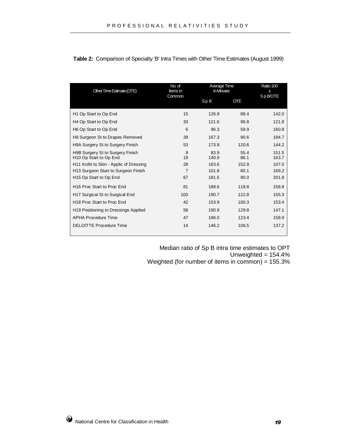| Other Time Estimate (OTE)                                              | No. of<br>Items In<br>Common |               | Average Time<br>In Minutes |                |
|------------------------------------------------------------------------|------------------------------|---------------|----------------------------|----------------|
|                                                                        |                              | SpB           | <b>OTE</b>                 | SpB/OTE        |
| H1 Op Start to Op End                                                  | 15                           | 126.9         | 89.4                       | 142.0          |
| H <sub>4</sub> Op Start to Op End                                      | 33                           | 121.6         | 99.8                       | 121.8          |
| H6 Op Start to Op End                                                  | 6                            | 96.3          | 59.9                       | 160.8          |
| H8 Surgeon St to Drapes Removed                                        | 39                           | 167.3         | 90.6                       | 184.7          |
| H9A Surgery St to Surgery Finish                                       | 53                           | 173.9         | 120.6                      | 144.2          |
| H9B Surgery St to Surgery Finish<br>H <sub>10</sub> Op Start to Op End | 9<br>19                      | 83.9<br>140.9 | 55.4<br>86.1               | 151.5<br>163.7 |
| H11 Knife to Skin - Applic of Dressing                                 | 28                           | 163.6         | 152.9                      | 107.0          |
| H13 Surgeon Start to Surgeon Finish                                    | $\overline{7}$               | 101.8         | 60.1                       | 169.2          |
| H <sub>15</sub> Op Start to Op End                                     | 67                           | 181.5         | 90.0                       | 201.8          |
| H <sub>16</sub> Proc Start to Proc End                                 | 81                           | 188.6         | 118.8                      | 158.8          |
| H17 Surgical St to Surgical End                                        | 100                          | 190.7         | 122.8                      | 155.3          |
| H <sub>18</sub> Proc Start to Proc End                                 | 42                           | 153.9         | 100.3                      | 153.4          |
| H19 Positioning to Dressings Applied                                   | 58                           | 190.9         | 129.8                      | 147.1          |
| <b>APHA Procedure Time</b>                                             | 47                           | 196.0         | 123.4                      | 158.9          |
| <b>DELOITTE Procedure Time</b>                                         | 14                           | 146.2         | 106.5                      | 137.2          |

**Table 2:** Comparison of Specialty 'B' Intra Times with Other Time Estimates (August 1999)

Median ratio of Sp B intra time estimates to OPT Unweighted =  $154.4%$ Weighted (for number of items in common) = 155.3%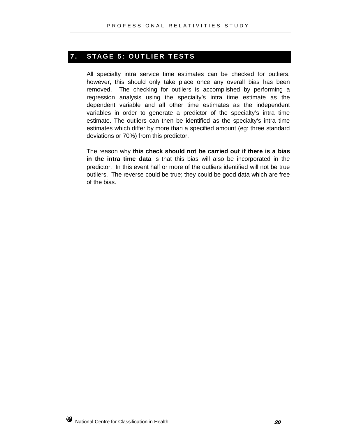#### **7. STAGE 5: OUTLIER TESTS**

All specialty intra service time estimates can be checked for outliers, however, this should only take place once any overall bias has been removed. The checking for outliers is accomplished by performing a regression analysis using the specialty's intra time estimate as the dependent variable and all other time estimates as the independent variables in order to generate a predictor of the specialty's intra time estimate. The outliers can then be identified as the specialty's intra time estimates which differ by more than a specified amount (eg: three standard deviations or 70%) from this predictor.

The reason why **this check should not be carried out if there is a bias in the intra time data** is that this bias will also be incorporated in the predictor. In this event half or more of the outliers identified will not be true outliers. The reverse could be true; they could be good data which are free of the bias.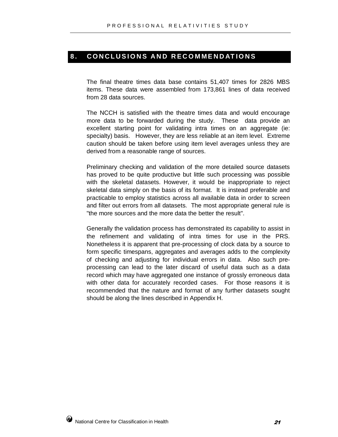#### 8. CONCLUSIONS AND RECOMMENDATIONS

The final theatre times data base contains 51,407 times for 2826 MBS items. These data were assembled from 173,861 lines of data received from 28 data sources.

The NCCH is satisfied with the theatre times data and would encourage more data to be forwarded during the study. These data provide an excellent starting point for validating intra times on an aggregate (ie: specialty) basis. However, they are less reliable at an item level. Extreme caution should be taken before using item level averages unless they are derived from a reasonable range of sources.

Preliminary checking and validation of the more detailed source datasets has proved to be quite productive but little such processing was possible with the skeletal datasets. However, it would be inappropriate to reject skeletal data simply on the basis of its format. It is instead preferable and practicable to employ statistics across all available data in order to screen and filter out errors from all datasets. The most appropriate general rule is "the more sources and the more data the better the result".

Generally the validation process has demonstrated its capability to assist in the refinement and validating of intra times for use in the PRS. Nonetheless it is apparent that pre-processing of clock data by a source to form specific timespans, aggregates and averages adds to the complexity of checking and adjusting for individual errors in data. Also such preprocessing can lead to the later discard of useful data such as a data record which may have aggregated one instance of grossly erroneous data with other data for accurately recorded cases. For those reasons it is recommended that the nature and format of any further datasets sought should be along the lines described in Appendix H.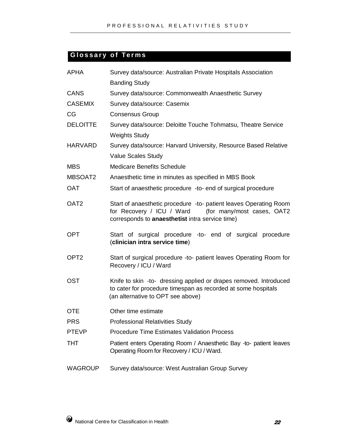### **Glossary of Terms**

| <b>APHA</b>      | Survey data/source: Australian Private Hospitals Association                                                                                                                    |  |  |  |  |
|------------------|---------------------------------------------------------------------------------------------------------------------------------------------------------------------------------|--|--|--|--|
|                  | <b>Banding Study</b>                                                                                                                                                            |  |  |  |  |
| <b>CANS</b>      | Survey data/source: Commonwealth Anaesthetic Survey                                                                                                                             |  |  |  |  |
| <b>CASEMIX</b>   | Survey data/source: Casemix                                                                                                                                                     |  |  |  |  |
| CG               | <b>Consensus Group</b>                                                                                                                                                          |  |  |  |  |
| <b>DELOITTE</b>  | Survey data/source: Deloitte Touche Tohmatsu, Theatre Service                                                                                                                   |  |  |  |  |
|                  | <b>Weights Study</b>                                                                                                                                                            |  |  |  |  |
| <b>HARVARD</b>   | Survey data/source: Harvard University, Resource Based Relative                                                                                                                 |  |  |  |  |
|                  | <b>Value Scales Study</b>                                                                                                                                                       |  |  |  |  |
| <b>MBS</b>       | <b>Medicare Benefits Schedule</b>                                                                                                                                               |  |  |  |  |
| MBSOAT2          | Anaesthetic time in minutes as specified in MBS Book                                                                                                                            |  |  |  |  |
| <b>OAT</b>       | Start of anaesthetic procedure -to- end of surgical procedure                                                                                                                   |  |  |  |  |
| OAT <sub>2</sub> | Start of anaesthetic procedure -to- patient leaves Operating Room<br>for Recovery / ICU / Ward<br>(for many/most cases, OAT2<br>corresponds to anaesthetist intra service time) |  |  |  |  |
| <b>OPT</b>       | Start of surgical procedure -to- end of surgical procedure<br>(clinician intra service time)                                                                                    |  |  |  |  |
| OPT <sub>2</sub> | Start of surgical procedure -to- patient leaves Operating Room for<br>Recovery / ICU / Ward                                                                                     |  |  |  |  |
| <b>OST</b>       | Knife to skin -to- dressing applied or drapes removed. Introduced<br>to cater for procedure timespan as recorded at some hospitals<br>(an alternative to OPT see above)         |  |  |  |  |
| <b>OTE</b>       | Other time estimate                                                                                                                                                             |  |  |  |  |
| <b>PRS</b>       | <b>Professional Relativities Study</b>                                                                                                                                          |  |  |  |  |
| <b>PTEVP</b>     | <b>Procedure Time Estimates Validation Process</b>                                                                                                                              |  |  |  |  |
| <b>THT</b>       | Patient enters Operating Room / Anaesthetic Bay -to- patient leaves<br>Operating Room for Recovery / ICU / Ward.                                                                |  |  |  |  |
| WAGROUP          | Survey data/source: West Australian Group Survey                                                                                                                                |  |  |  |  |

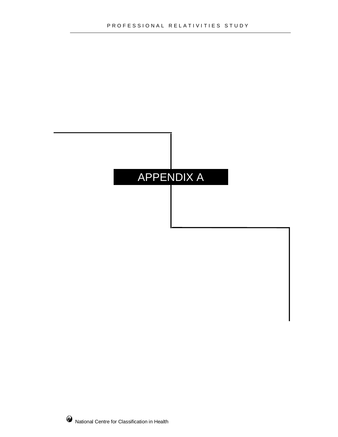# APPENDIX A

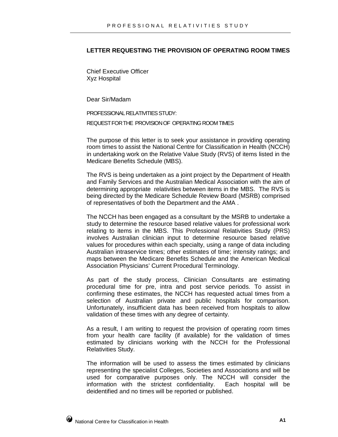#### **LETTER REQUESTING THE PROVISION OF OPERATING ROOM TIMES**

Chief Executive Officer Xyz Hospital

Dear Sir/Madam

PROFESSIONAL RELATIVITIES STUDY: REQUESTFORTHE PROVISIONOF OPERATING ROOMTIMES

The purpose of this letter is to seek your assistance in providing operating room times to assist the National Centre for Classification in Health (NCCH) in undertaking work on the Relative Value Study (RVS) of items listed in the Medicare Benefits Schedule (MBS).

The RVS is being undertaken as a joint project by the Department of Health and Family Services and the Australian Medical Association with the aim of determining appropriate relativities between items in the MBS. The RVS is being directed by the Medicare Schedule Review Board (MSRB) comprised of representatives of both the Department and the AMA .

The NCCH has been engaged as a consultant by the MSRB to undertake a study to determine the resource based relative values for professional work relating to items in the MBS. This Professional Relativities Study (PRS) involves Australian clinician input to determine resource based relative values for procedures within each specialty, using a range of data including Australian intraservice times; other estimates of time; intensity ratings; and maps between the Medicare Benefits Schedule and the American Medical Association Physicians' Current Procedural Terminology.

As part of the study process, Clinician Consultants are estimating procedural time for pre, intra and post service periods. To assist in confirming these estimates, the NCCH has requested actual times from a selection of Australian private and public hospitals for comparison. Unfortunately, insufficient data has been received from hospitals to allow validation of these times with any degree of certainty.

As a result, I am writing to request the provision of operating room times from your health care facility (if available) for the validation of times estimated by clinicians working with the NCCH for the Professional Relativities Study.

The information will be used to assess the times estimated by clinicians representing the specialist Colleges, Societies and Associations and will be used for comparative purposes only. The NCCH will consider the information with the strictest confidentiality. Each hospital will be deidentified and no times will be reported or published.

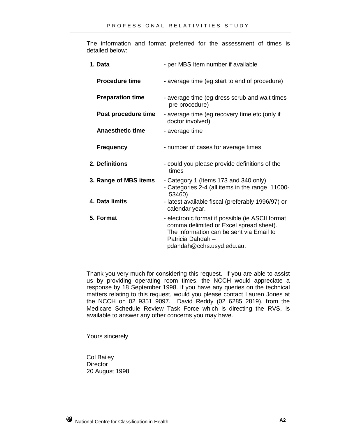The information and format preferred for the assessment of times is detailed below:

| 1. Data                 | - per MBS Item number if available                                                                                                                                                        |
|-------------------------|-------------------------------------------------------------------------------------------------------------------------------------------------------------------------------------------|
| <b>Procedure time</b>   | - average time (eg start to end of procedure)                                                                                                                                             |
| <b>Preparation time</b> | - average time (eg dress scrub and wait times<br>pre procedure)                                                                                                                           |
| Post procedure time     | - average time (eg recovery time etc (only if<br>doctor involved)                                                                                                                         |
| <b>Anaesthetic time</b> | - average time                                                                                                                                                                            |
| <b>Frequency</b>        | - number of cases for average times                                                                                                                                                       |
| 2. Definitions          | - could you please provide definitions of the<br>times                                                                                                                                    |
| 3. Range of MBS items   | - Category 1 (Items 173 and 340 only)<br>- Categories 2-4 (all items in the range 11000-<br>53460)                                                                                        |
| 4. Data limits          | - latest available fiscal (preferably 1996/97) or<br>calendar year.                                                                                                                       |
| 5. Format               | - electronic format if possible (ie ASCII format<br>comma delimited or Excel spread sheet).<br>The information can be sent via Email to<br>Patricia Dahdah -<br>pdahdah@cchs.usyd.edu.au. |

Thank you very much for considering this request. If you are able to assist us by providing operating room times, the NCCH would appreciate a response by 18 September 1998. If you have any queries on the technical matters relating to this request, would you please contact Lauren Jones at the NCCH on 02 9351 9097. David Reddy (02 6285 2819), from the Medicare Schedule Review Task Force which is directing the RVS, is available to answer any other concerns you may have.

Yours sincerely

Col Bailey **Director** 20 August 1998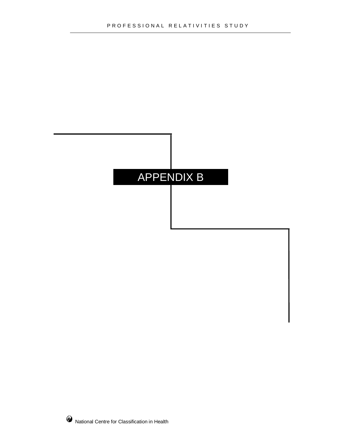### APPENDIX B

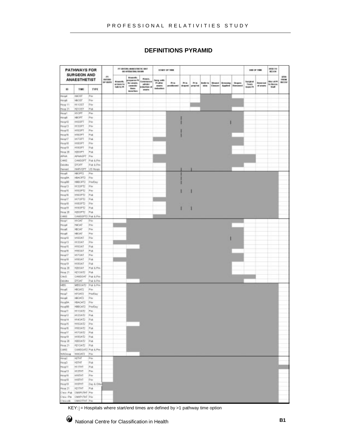#### **DEFINITIONS PYRAMID**

|                              | <b>PATHWAYS FOR</b><br><b>SURGEON AND</b>       |                 |                                 |                           | FT ENTERS ABANDSTRETK: BAIT<br>GO GOTRATION GOODS |                                 |                        | <b>S1MST OF THE</b> |            |              |                   |         |                                |                    |                    | <b>UH OF THE</b>      | 1719.10<br>80109   |                            |
|------------------------------|-------------------------------------------------|-----------------|---------------------------------|---------------------------|---------------------------------------------------|---------------------------------|------------------------|---------------------|------------|--------------|-------------------|---------|--------------------------------|--------------------|--------------------|-----------------------|--------------------|----------------------------|
|                              | <b>ANAESTHETIST</b>                             |                 | .HI<br><b>INTERE</b><br>OF BUIL | Anneth.                   | August.<br>PO are teacher<br>for arabs.           | Alenta.<br>Contentence e        | Surg. with:<br>Platfor | <b>Philip</b>       | <b>His</b> | Philadelphia | <b>Brothering</b> | Woodsk  | <b><i><u>In source</u></i></b> | <b>Drapes</b>      | <b>Suitable</b>    | <b>Report Follows</b> | <b>BM UFF</b>      | <b>THE</b><br>FROM<br>相に言す |
| 10                           | TIME                                            | TYPE            |                                 | artises to<br>tale to Pt. | semic<br><b>State</b><br><b>Money Born</b>        | edrole/<br>duction of<br>anana. | stores.<br>tehnikon    | perationanti        | draped.    | propind      | sin m             | Cleaner | Applied                        | <b>Environment</b> | Tees<br>lease (Pt) | of aners.             | to Recor.<br>Staff |                            |
| Hospit                       | HIGHT                                           | Par             |                                 |                           |                                                   |                                 |                        |                     |            |              |                   |         |                                |                    |                    |                       |                    |                            |
| Hospic                       | HIGHT                                           | Pair            |                                 |                           |                                                   |                                 |                        |                     |            |              |                   |         |                                |                    |                    |                       |                    |                            |
| Hosp 11                      | 191057                                          | illin.          |                                 |                           |                                                   |                                 |                        |                     |            |              |                   |         |                                |                    |                    |                       |                    |                            |
| Here Zi                      | <b>HZ10ST</b>                                   | Pab             |                                 |                           |                                                   |                                 |                        |                     |            |              |                   |         |                                |                    |                    |                       |                    |                            |
| Hose1<br>Hospit              | HIGHT<br>HIGHT                                  | Pm<br>Share.    |                                 |                           |                                                   |                                 |                        |                     |            |              |                   |         |                                |                    |                    |                       |                    |                            |
| Hasp10                       | <b>HIDDRT</b>                                   | <b>PM</b>       |                                 |                           |                                                   |                                 |                        |                     |            |              |                   |         |                                |                    |                    |                       |                    |                            |
| Hosp13                       | HI30PT                                          | Par             |                                 |                           |                                                   |                                 |                        |                     |            |              |                   |         |                                |                    |                    |                       |                    |                            |
| Hose 16                      | HISOPT                                          | Pm              |                                 |                           |                                                   |                                 |                        |                     |            |              |                   |         |                                |                    |                    |                       |                    |                            |
| Hosp 16                      | HISCPT                                          | Pub             |                                 |                           |                                                   |                                 |                        |                     |            |              |                   |         |                                |                    |                    |                       |                    |                            |
| Hospitz                      | HI/DPT                                          | Pak             |                                 |                           |                                                   |                                 |                        |                     |            |              |                   |         |                                |                    |                    |                       |                    |                            |
| Hospith                      | <b>HIBOPT</b>                                   | Print           |                                 |                           |                                                   |                                 |                        |                     |            |              |                   |         |                                |                    |                    |                       |                    |                            |
| Hosp 19                      | <b>HISOPT</b>                                   | Pak             |                                 |                           |                                                   |                                 |                        |                     |            |              |                   |         |                                |                    |                    |                       |                    |                            |
| Hyse 25                      | <b>HODDRT</b>                                   | Pak             |                                 |                           |                                                   |                                 |                        |                     |            |              |                   |         |                                |                    |                    |                       |                    |                            |
| <b>APIA</b>                  | AFHADFT Fax                                     |                 |                                 |                           |                                                   |                                 |                        |                     |            |              |                   |         |                                |                    |                    |                       |                    |                            |
| CANEL                        | CANSOFT Pub & Prix                              |                 |                                 |                           |                                                   |                                 |                        |                     |            |              |                   |         |                                |                    |                    |                       |                    |                            |
| <b>Deloits</b>               | DROPT <sup></sup>                               | Pub & Pay       |                                 |                           |                                                   |                                 |                        |                     |            |              |                   |         |                                |                    |                    |                       |                    |                            |
| Herverd                      | HARVOFT US Heres                                |                 |                                 |                           |                                                   |                                 |                        |                     |            |              |                   |         |                                |                    |                    |                       |                    |                            |
| Hysell                       | HIGHT2                                          | Pm              |                                 |                           |                                                   |                                 |                        |                     |            |              |                   |         |                                |                    |                    |                       |                    |                            |
| Hospita.                     | HACFG:<br>1980年12                               | Par<br>PrintDay |                                 |                           |                                                   |                                 |                        |                     |            |              |                   |         |                                |                    |                    |                       |                    |                            |
| HospBD<br>Hosp13             | HI3DPT2                                         | $2\%$           |                                 |                           |                                                   |                                 |                        |                     |            |              |                   |         |                                |                    |                    |                       |                    |                            |
| Hosp 15                      | HISOPTZ                                         | Pm              |                                 |                           |                                                   |                                 |                        |                     |            |              |                   |         |                                |                    |                    |                       |                    |                            |
| Hosp16                       | <b>HISOPTZ</b>                                  | Pak             |                                 |                           |                                                   |                                 |                        |                     |            |              |                   |         |                                |                    |                    |                       |                    |                            |
| HospTT                       | HI7DPT2                                         | Pak             |                                 |                           |                                                   |                                 |                        |                     |            |              |                   |         |                                |                    |                    |                       |                    |                            |
| Huss10                       | <b>HISOPT2</b>                                  | <b>Star</b>     |                                 |                           |                                                   |                                 |                        |                     |            |              |                   |         |                                |                    |                    |                       |                    |                            |
| Hose 19                      | HISOPT2                                         | Pat             |                                 |                           |                                                   |                                 |                        |                     |            |              |                   |         |                                |                    |                    |                       |                    |                            |
| Here 28                      | H2DOPT2                                         | Pot.            |                                 |                           |                                                   |                                 |                        |                     |            |              |                   |         |                                |                    |                    |                       |                    |                            |
| CANS                         | CANSOPT2 Pub & Prix                             |                 |                                 |                           |                                                   |                                 |                        |                     |            |              |                   |         |                                |                    |                    |                       |                    |                            |
| Hospf                        | <b>HIGHT</b>                                    | Pu              |                                 |                           |                                                   |                                 |                        |                     |            |              |                   |         |                                |                    |                    |                       |                    |                            |
| Hospi                        | <b>HACAT</b>                                    | Print           |                                 |                           |                                                   |                                 |                        |                     |            |              |                   |         |                                |                    |                    |                       |                    |                            |
| Hoyalli                      | <b>HEGAT</b>                                    | Print           |                                 |                           |                                                   |                                 |                        |                     |            |              |                   |         |                                |                    |                    |                       |                    |                            |
| Hospit                       | <b>HIGAT</b>                                    | Par             |                                 |                           |                                                   |                                 |                        |                     |            |              |                   |         |                                |                    |                    |                       |                    |                            |
| Hospital                     | HIGHT                                           | Par             |                                 |                           |                                                   |                                 |                        |                     |            |              |                   |         |                                |                    |                    |                       |                    |                            |
| Hosp13                       | HIGGAT                                          | Pár             |                                 |                           |                                                   |                                 |                        |                     |            |              |                   |         |                                |                    |                    |                       |                    |                            |
| How 15<br>Heye 15            | <b>HISO41</b><br>HIBOAT                         | Pat<br>Pub      |                                 |                           |                                                   |                                 |                        |                     |            |              |                   |         |                                |                    |                    |                       |                    |                            |
| Hosp17                       | HI/DAT                                          | Pw              |                                 |                           |                                                   |                                 |                        |                     |            |              |                   |         |                                |                    |                    |                       |                    |                            |
| Hosp10                       | HISOAT                                          | Pub             |                                 |                           |                                                   |                                 |                        |                     |            |              |                   |         |                                |                    |                    |                       |                    |                            |
| Hisp39                       | <b>HISOAT</b>                                   | Pub             |                                 |                           |                                                   |                                 |                        |                     |            |              |                   |         |                                |                    |                    |                       |                    |                            |
| Hyse 28                      | <b>HZDOAT</b>                                   | Pub K Pira      |                                 |                           |                                                   |                                 |                        |                     |            |              |                   |         |                                |                    |                    |                       |                    |                            |
| Hose 21                      | <b>HZTOATZ</b>                                  | <b>Pub</b>      |                                 |                           |                                                   |                                 |                        |                     |            |              |                   |         |                                |                    |                    |                       |                    |                            |
| ONE                          | EAMGLAT                                         | Pub & Prix      |                                 |                           |                                                   |                                 |                        |                     |            |              |                   |         |                                |                    |                    |                       |                    |                            |
| Deloitte                     | DIGAT.                                          | Put & Prix      |                                 |                           |                                                   |                                 |                        |                     |            |              |                   |         |                                |                    |                    |                       |                    |                            |
| MS                           | MBSOAT2                                         | (Pub 5.7th      |                                 |                           |                                                   |                                 |                        |                     |            |              |                   |         |                                |                    |                    |                       |                    |                            |
| Hose5                        | <b>HBOAT2</b>                                   | Por             |                                 |                           |                                                   |                                 |                        |                     |            |              |                   |         |                                |                    |                    |                       |                    |                            |
| Hosp?                        | HIGAT2                                          | PrintDay        |                                 |                           |                                                   |                                 |                        |                     |            |              |                   |         |                                |                    |                    |                       |                    |                            |
| Hospit                       | HIGAT3                                          | Par             |                                 |                           |                                                   |                                 |                        |                     |            |              |                   |         |                                |                    |                    |                       |                    |                            |
| HospitA                      | HIACAT2                                         | Par             |                                 |                           |                                                   |                                 |                        |                     |            |              |                   |         |                                |                    |                    |                       |                    |                            |
| Hostif                       | HIBOAT2                                         | Po/Day          |                                 |                           |                                                   |                                 |                        |                     |            |              |                   |         |                                |                    |                    |                       |                    |                            |
| Here <sup>11</sup><br>HospT2 | HITOAT2<br>HIGHTE Pub                           | $P_{\rm{7D}}$   |                                 |                           |                                                   |                                 |                        |                     |            |              |                   |         |                                |                    |                    |                       |                    |                            |
| Hosp18                       | HIADAT2 Pub                                     |                 |                                 |                           |                                                   |                                 |                        |                     |            |              |                   |         |                                |                    |                    |                       |                    |                            |
| Hosp 15                      | HISOATZ Par                                     |                 |                                 |                           |                                                   |                                 |                        |                     |            |              |                   |         |                                |                    |                    |                       |                    |                            |
| How IG                       | HIBOAT2 Pub                                     |                 |                                 |                           |                                                   |                                 |                        |                     |            |              |                   |         |                                |                    |                    |                       |                    |                            |
| HospTT                       | HIZOATZ Pub                                     |                 |                                 |                           |                                                   |                                 |                        |                     |            |              |                   |         |                                |                    |                    |                       |                    |                            |
| Holy 19                      | HISOAT2 Pub                                     |                 |                                 |                           |                                                   |                                 |                        |                     |            |              |                   |         |                                |                    |                    |                       |                    |                            |
| Hosp 28                      | H2DDAT2 Pub                                     |                 |                                 |                           |                                                   |                                 |                        |                     |            |              |                   |         |                                |                    |                    |                       |                    |                            |
| Hrsp 21                      | <b>H210AT2 Pub</b>                              |                 |                                 |                           |                                                   |                                 |                        |                     |            |              |                   |         |                                |                    |                    |                       |                    |                            |
| CANS                         | CANSOAT2 Pub & Pre-                             |                 |                                 |                           |                                                   |                                 |                        |                     |            |              |                   |         |                                |                    |                    |                       |                    |                            |
| <b>WASHING</b>               | WACATZ Par                                      |                 |                                 |                           |                                                   |                                 |                        |                     |            |              |                   |         |                                |                    |                    |                       |                    |                            |
| Hosp2                        | HOTHE                                           | <b>PA</b>       |                                 |                           |                                                   |                                 |                        |                     |            |              |                   |         |                                |                    |                    |                       |                    |                            |
| Sarah                        | HITHT                                           | Pak             |                                 |                           |                                                   |                                 |                        |                     |            |              |                   |         |                                |                    |                    |                       |                    |                            |
| Hosp11                       | HITHT                                           | Pat             |                                 |                           |                                                   |                                 |                        |                     |            |              |                   |         |                                |                    |                    |                       |                    |                            |
| Hosp13                       | HISTHT                                          | me.             |                                 |                           |                                                   |                                 |                        |                     |            |              |                   |         |                                |                    |                    |                       |                    |                            |
| Hospital                     | HIGHT                                           | Print           |                                 |                           |                                                   |                                 |                        |                     |            |              |                   |         |                                |                    |                    |                       |                    |                            |
| Hospital                     | HISTIT                                          | Pe              |                                 |                           |                                                   |                                 |                        |                     |            |              |                   |         |                                |                    |                    |                       |                    |                            |
| Hora 19                      | <b>HISTHT</b>                                   | Das & Other     |                                 |                           |                                                   |                                 |                        |                     |            |              |                   |         |                                |                    |                    |                       |                    |                            |
| Here 21                      | HEITHT                                          | 3Pub.           |                                 |                           |                                                   |                                 |                        |                     |            |              |                   |         |                                |                    |                    |                       |                    |                            |
| Clear-Par                    | Case Pub. CMR/UNT Pre-<br><b>LMXPVTHT</b> Print |                 |                                 |                           |                                                   |                                 |                        |                     |            |              |                   |         |                                |                    |                    |                       |                    |                            |
| C'espositi                   | <b>EMODITIVIT Page</b>                          |                 |                                 |                           |                                                   |                                 |                        |                     |            |              |                   |         |                                |                    |                    |                       |                    |                            |

KEY:  $=$  Hospitals where start/end times are defined by >1 pathway time option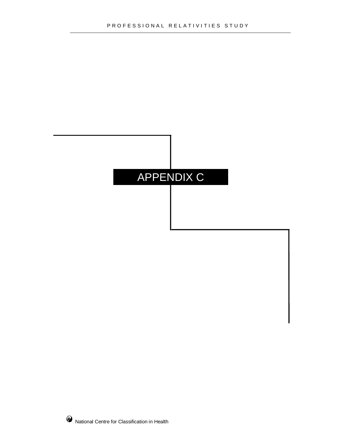# APPENDIX C

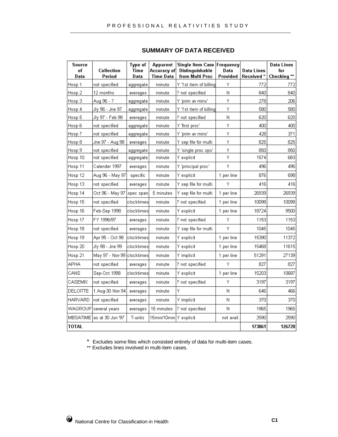| Source<br>of      | Collection                  | Type of<br>Time | <b>Apparent</b><br>Accuracy of | Single Item Case Frequency<br>Distinguishable | Data       | Data Lines | <b>Data Lines</b><br>fог |
|-------------------|-----------------------------|-----------------|--------------------------------|-----------------------------------------------|------------|------------|--------------------------|
| Data              | Period                      | Data            | Time Data                      | from Multi Proc                               | Provided   | Received*  | Checking $**$            |
| Hosp 1            | not specified               | aggregate       | minute                         | Y '1st item of billing                        | Υ          | 772        | 772                      |
| Hosp 2            | 12 months                   | averages        | minute                         | ? not specified                               | Ν          | 840        | 840                      |
| Hosp 3            | Aug 96 - ?                  | aggregate       | minute                         | Y 'prim av mins'                              | Υ          | 278        | 206                      |
| Hosp 4            | Jly 96 - Jne 97             | aggregate       | minute                         | Y '1st item of billing                        | Υ          | 580        | 580                      |
| Hosp 5            | Jly 97 - Feb 98             | averages        | minute                         | ? not specified                               | Ν          | 620        | 620                      |
| Hosp 6            | not specified               | aggregate       | minute                         | Y 'first proc'                                | Υ          | 400        | 400                      |
| Hosp 7            | not specified               | aggregate       | minute                         | Y 'prim av mins'                              | Υ          | 428        | 371                      |
| Hosp 8            | Jne 97 - Aug 98 I           | averages        | minute                         | Y sep file for multi                          | Υ          | 825        | 825                      |
| Hosp <sub>9</sub> | not specified               | aggregate       | minute                         | Y 'single proc ops'                           | Υ          | 850        | 850                      |
| Hosp 10           | not specified.              | aggregate       | minute                         | Y explicit                                    | Υ          | 1574       | 683                      |
| Hosp 11           | Calender 1997               | averages        | minute                         | Y 'principal proc'                            | Υ          | 496        | 496                      |
| Hosp 12           | Aug 96 - May 97             | specific        | minute                         | Y explicit                                    | 1 per line | 876        | 698                      |
| Hosp 13           | not specified               | averages        | minute                         | Y sep file for multi                          | Υ          | 416        | 416                      |
| Hosp 14           | Oct 96 - May 97             | spec span       | 5 minutes                      | Y sep file for multi                          | 1 per line | 26939      | 26939                    |
| Hosp 15           | not specified               | clocktimes      | minute                         | ? not specified                               | 1 per line | 10098      | 10098                    |
| Hosp 16           | Feb-Sep 1998                | clocktimes      | minute                         | Y explicit                                    | 1 per line | 18724      | 9500                     |
| Hosp 17           | FY 1996/97                  | averages        | minute                         | ? not specified                               | Υ          | 1153       | 1153                     |
| Hosp 18           | not specified               | averages        | minute                         | Y sep file for multi                          | Y          | 1045       | 1045                     |
| Hosp 19           | Apr 95 - Oct 98             | lclocktimesl    | minute                         | Y explicit                                    | 1 per line | 15390      | 11372                    |
| Hosp 20           | Jly 98 - Jne 99             | clocktimes      | minute                         | Y explicit                                    | 1 per line | 15468      | 11615                    |
| Hosp 21           | May 97 - Nov 99             | clocktimes      | minute                         | Y implicit                                    | 1 per line | 51291      | 27139                    |
| <b>APHA</b>       | not specified               | averages        | minute                         | ? not specified                               | Υ          | 827        | 827                      |
| CANS              | Sep-Oct 1998                | clocktimes      | minute                         | Y explicit                                    | 1 per line | 15203      | 10687                    |
| CASEMIX           | not specified               | averages        | minute                         | ? not specified                               | Υ          | 3197       | 3197                     |
| DELOITTE          | 1 Aug-30 Nov 94             | averages        | minute                         | Υ                                             | Ν          | 646        | 466                      |
| HARVARD           | not specified               | averages        | minute                         | Y implicit                                    | Ν          | 370        | 370                      |
| WAGROUP           | several years               | averages        | 15 minutes                     | ? not specified                               | Ν          | 1965       | 1965                     |
|                   | MBSATIME   as at 30 Jun '97 | T-units         | 15min/10min Y explicit         |                                               | not avail. | 2590       | 2590                     |
| <b>TOTAL</b>      |                             |                 |                                |                                               |            | 173861     | 126720                   |

#### **SUMMARY OF DATA RECEIVED**

\* Excludes some files which consisted entirely of data for multi-item cases.

\*\* Excludes lines involved in multi-item cases.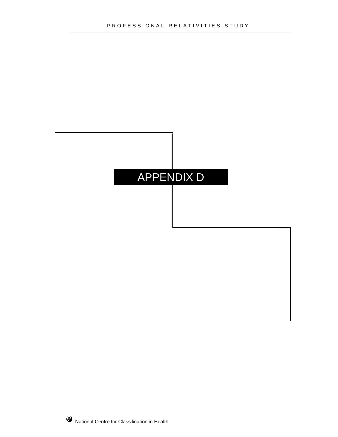# APPENDIX D

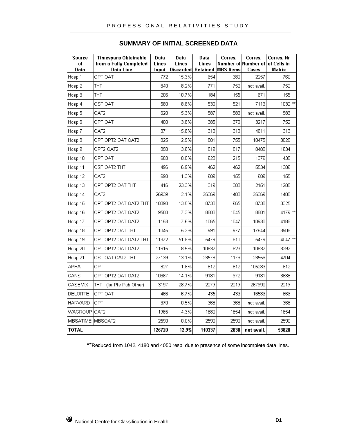| <b>Source</b><br>of<br>Data | Timespans Obtainable<br>from a Fully Completed<br>Data Line | Data<br>Lines<br>Input | Data<br>Lines<br>Discarded | Data<br>Lines<br>Retained | Corres.<br><b>MBS</b> Items | Corres.<br>Number of Number of<br>Cases | Corres. Nr<br>of Cells in<br>Matrix |
|-----------------------------|-------------------------------------------------------------|------------------------|----------------------------|---------------------------|-----------------------------|-----------------------------------------|-------------------------------------|
| Hosp 1                      | OPT OAT                                                     | 772                    | 15.3%                      | 654                       | 380                         | 2257                                    | 760                                 |
| Hosp 2                      | THT                                                         | 840                    | 8.2%                       | 771                       | 752                         | not avail.                              | 752                                 |
| Hosp 3                      | THT                                                         | 206                    | 10.7%                      | 184                       | 155                         | 671                                     | 155                                 |
| Hosp 4                      | OST OAT                                                     | 580                    | 8.6%                       | 530                       | 521                         | 7113                                    | $1032$ **                           |
| Hosp 5                      | OAT2                                                        | 620                    | 5.3%                       | 587                       | 583                         | not avail.                              | 583                                 |
| Hosp 6                      | OPT OAT                                                     | 400                    | 3.8%                       | 385                       | 376                         | 3217                                    | 752                                 |
| Hosp 7                      | OAT <sub>2</sub>                                            | 371                    | 15.6%                      | 313                       | 313                         | 4611                                    | 313                                 |
| Hosp 8                      | OPT OPT2 OAT OAT2                                           | 825                    | 2.9%                       | 801                       | 755                         | 10475                                   | 3020                                |
| Hosp 9                      | OPT2 OAT2                                                   | 850                    | 3.6%                       | 819                       | 817                         | 8480                                    | 1634                                |
| Hosp 10                     | OPT OAT                                                     | 683                    | 8.8%                       | 623                       | 215                         | 1376                                    | 430                                 |
| Hosp 11                     | OST OAT2 THT                                                | 496                    | 6.9%                       | 462                       | 462                         | 5534                                    | 1386                                |
| Hosp 12                     | OAT2                                                        | 698                    | 1.3%                       | 689                       | 155                         | 689                                     | 155                                 |
| Hosp 13                     | OPT OPT2 OAT THT                                            | 416                    | 23.3%                      | 319                       | 300                         | 2151                                    | 1200                                |
| Hosp 14                     | OAT <sub>2</sub>                                            | 26939                  | 2.1%                       | 26369                     | 1408                        | 26369                                   | 1408                                |
| Hosp 15                     | OPT OPT2 OAT OAT2 THT                                       | 10098                  | 13.5%                      | 8738                      | 665                         | 8738                                    | 3325                                |
| Hosp 16                     | OPT OPT2 OAT OAT2                                           | 9500                   | 7.3%                       | 8803                      | 1045                        | 8801                                    | 4179 **                             |
| Hosp 17                     | OPT OPT2 OAT OAT2                                           | 1153                   | 7.6%                       | 1065                      | 1047                        | 10930                                   | 4188                                |
| Hosp 18                     | OPT OPT2 OAT THT                                            | 1045                   | 5.2%                       | 991                       | 977                         | 17644                                   | 3908                                |
| Hosp 19                     | OPT OPT2 OAT OAT2 THT                                       | 11372                  | 51.8%                      | 5479                      | 810                         | 5479                                    | 4047 **                             |
| Hosp 20                     | OPT OPT2 OAT OAT2                                           | 11615                  | 8.5%                       | 10632                     | 823                         | 10632                                   | 3292                                |
| Hosp 21                     | OST OAT OAT2 THT                                            | 27139                  | 13.1%                      | 23578                     | 1176                        | 23556                                   | 4704                                |
| APHA                        | OPT                                                         | 827                    | 1.8%                       | 812                       | 812                         | 105283                                  | 812                                 |
| CANS                        | OPT OPT2 OAT OAT2                                           | 10687                  | 14.1%                      | 9181                      | 972                         | 9181                                    | 3888                                |
| CASEMIX                     | (for Pte Pub Other)<br>THT                                  | 3197                   | 28.7%                      | 2279                      | 2219                        | 267990                                  | 2219                                |
| DELOITTE                    | OPT OAT                                                     | 466                    | 6.7%                       | 435                       | 433                         | 16586                                   | 866                                 |
| HARVARD                     | OPT                                                         | 370                    | 0.5%                       | 368                       | 368                         | not avail.                              | 368                                 |
| WAGROUP                     | OAT <sub>2</sub>                                            | 1965                   | 4.3%                       | 1880                      | 1854                        | not avail.                              | 1854                                |
| MBSATIME                    | IMBSOAT2                                                    | 2590                   | 0.0%                       | 2590                      | 2590                        | not avail.                              | 2590                                |
| TOTAL                       |                                                             | 126720                 | 12.9%                      | 110337                    | 2830                        | not avail.                              | 53820                               |

#### **SUMMARY OF INITIAL SCREENED DATA**

\*\*Reduced from 1042, 4180 and 4050 resp. due to presence of some incomplete data lines.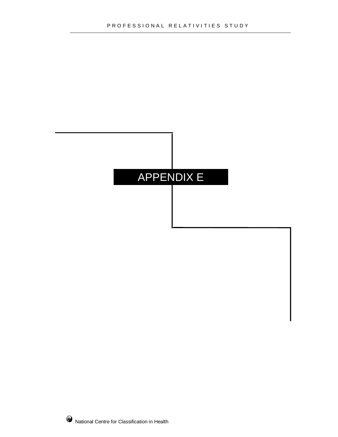### APPENDIX E

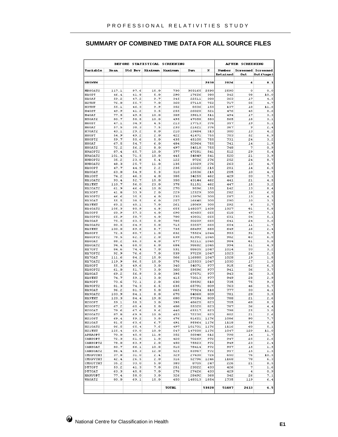#### **SUMMARY OF COMBINED TIME DATA FOR ALL SOURCE FILES**

| BEFORE STATISTICAL SCREENING |              |              |            |            |                |             |                           | <b>AFTER SCREENING</b> |                                        |
|------------------------------|--------------|--------------|------------|------------|----------------|-------------|---------------------------|------------------------|----------------------------------------|
| Variable                     | Mean         | Std Dev      | Minimum    | Maximum    | Sum            | N           | Number<br><b>Retained</b> | Out                    | <b>Screened</b> Screened<br>Out (%age) |
| <b>MB SNUM</b>               |              |              |            |            |                | 2830        | 2826                      | 4                      | 0.1                                    |
| MBSOAT2                      | 117.1        | 97.6         | 15.0       | 730        | 303165         | 2590        | 2590                      | о                      | 0.0                                    |
| HIOPT                        | 46.4         | 41.8         | 5.0        | 290        | 17626          | 380         | 342                       | 38                     | 10.0                                   |
| HIOAT                        | 59.2         | 47.2         | 9.7        | 345        | 22511          | 380         | 363                       | 17                     | 4.5                                    |
| H <sub>2</sub> THT           | 76.0         | 55.7         | 7.0        | 360        | 57118          | 752         | 717                       | 35                     | 4.7                                    |
| <b>H3THT</b>                 | 55.1         | 46.3         | 9.9        | 352        | 8536           | 155         | 137                       | 18                     | 11.6                                   |
| H40ST                        | 49.9         | 41.2         | 3.5        | 255        | 26020          | 521         | 476                       | 45                     | 8.6                                    |
| H40AT                        | 77.5         | 49.8         | 10.0       | 309        | 39613          | 511         | 494                       | 17                     | 3.3                                    |
| H50AT2                       | 80.7         | 58.8         | 10.0       | 495        | 47058          | 583         | 565                       | 18                     | 3.1                                    |
| H6OST                        | 47.1         | 34.9         | 4.5        | 213        | 17713          | 376         | 357                       | 19                     | 5.1                                    |
| H60AT                        | 57.5         | 38.3         | 7.5        | 233        | 21621          | 376         | 367                       | 9                      | 2.4                                    |
| H70AT2                       | 43.1         | 29.2         | 8.0        | 210        | 13484          | 313         | 300                       | 13                     | 4.2                                    |
| HSOPT                        | 54.9         | 49.2         | 2.0        | 422        | 41471          | 755         | 703                       | 52                     | 6.9                                    |
| H80PT2                       | 59.7         | 50.6         | 5.0        | 435        | 45100          | 755         | 731                       | 24                     | 3.2                                    |
| H80AT                        | 67.5         | 54.7         | 6.0        | 484        | 50964          | 755         | 741                       | 14                     | 1.9                                    |
| H80AT2                       | 72.2         | 56.2         | 8.0        | 497        | 54518          | 755         | 748                       | 7                      | 0.9                                    |
| H9A0PT2                      | 87.4         | 65.7         | 10.0       | 377        | 47281          | 541         | 512                       | 29                     | 5.4                                    |
| H9A0AT2                      | 101.4        | 71.5         | 10.0       | 445        | 54849          | 541         | 520                       | 21                     | 3.9                                    |
| H9B0PT2                      | 35.2         | 23.8         | 5.4        | 122        | 9726           | 276         | 252                       | 24                     | 8.7                                    |
| H9B0AT2                      | 48.3         | 25.7         | 11.0       | 135        | 13329          | 276         | 263                       | 13                     | 4.7                                    |
| HIOOPT                       | 47.7         | 44.9         | 2.2        | 235        | 10262          | 215         | 201                       | 14                     | 6.5                                    |
| H100AT                       | 63.0         | 54.9         | 5.3        | 310        | 13536          | 215         | 205                       | 10                     | 4.7                                    |
| HIIOST                       | 74.2         | 46.3         | 4.0        | 305        | 34255          | 462         | 429                       | 33                     | 7.1                                    |
| H110AT2                      | 93.4         | 52.7         | 15.0       | 350        | 43144          | 462         | 441                       | 21                     | 4.5                                    |
| HIITHT                       | 110.7        | 56.0         | 23.0       | 378        | 51151          | 462         | 447                       | 15                     | 3.2                                    |
| H120AT2                      | 61.9         | 46.4         | 10.0       | 270        | 9596           | 155         | 142                       | 13                     | 8.4                                    |
| H130PT<br>H130PT2            | 41.8         | 33.9         | 2.0        | 229        | 12529          | 300<br>300  | 282                       | 18<br>13               | 6.0<br>4.3                             |
| H130AT                       | 46.6<br>55.5 | 35.5<br>38.5 | 4.0<br>6.0 | 233<br>257 | 13976          | 300         | 287<br>290                | 10                     | 3.3                                    |
| <b>HI3THT</b>                | 60.2         | 40.1         | 7.0        | 261        | 16640<br>18069 | 300         | 292                       | 8                      | 2.7                                    |
| <b>H140AT2</b>               | 105.3        | 80.9         | 4.8        | 655        | 148207         | 1408        | 1327                      | 81                     | 5.8                                    |
| <b>H15OPT</b>                | 60.9         | 57.3         | 4.0        | 690        | 40483          | 665         | 618                       | 47                     | 7.1                                    |
| H150PT2                      | 65.9         | 58.7         | 4.0        | 700        | 43831          | 665         | 631                       | 34                     | 5.1                                    |
| H150AT                       | 75.5         | 63.5         | 5.0        | 705        | 50209          | 665         | 641                       | 24                     | 3.6                                    |
| <b>H150AT2</b>               | 80.5         | 64.9         | 5.0        | 715        | 53557          | 665         | 654                       | $^{11}$                | 1.7                                    |
| <b>H15THT</b>                | 100.0        | 69.6         | 8.7        | 735        | 66499          | 665         | 649                       | 16                     | 2.4                                    |
| H160PT                       | 72.3         | 60.7         | 1.0        | 632        | 75524          | 1044        | 953                       | 91                     | 8.7                                    |
| H160PT2                      | 78.5         | 62.3         | 2.0        | 639        | 81991          | 1045        | 982                       | 63                     | 6.0                                    |
| H160AT                       | 88.2         | 66.3         | 4.0        | 677        | 92211          | 1045        | 984                       | 61                     | 5.8                                    |
| <b>H160AT2</b>               | 94.4         | 68.0         | 6.0        | 684        | 98682          | 1045        | 994                       | 51                     | 4.9                                    |
| H170PT                       | 84.6         | 74.4         | 7.0        | 531        | 88605          | 1047        | 1014                      | 33                     | 3.2                                    |
| H170PT2                      | 92.9         | 76.6         | 7.0        | 539        | 97228          | 1047        | 1023                      | 24                     | 2.3                                    |
| H170AT                       | 111.6        | 84.2         | 15.0       | 566        | 116880         | 1047        | 1028                      | 19                     | 1.8                                    |
| H170AT2                      | 119.9        | 86.5         | 15.0       | 576        | 125503         | 1047        | 1030                      | 17                     | 1.6                                    |
| H180PT                       | 55.3         | 49.6         | 3.0        | 340        | 54071          | 977         | 915                       | 62                     | 6.3                                    |
| H180PT2                      | 61.0         | 51.7         | 3.0        | 360        | 59596          | 977         | 941                       | 36                     | 3.7                                    |
| <b>H180AT</b>                | 69.2         | 56.9         | 3.0        | 395        | 67571          | 977         | 943                       | 34                     | 3.5                                    |
| <b>HISTHT</b>                | 74.7         | 59.1         | 3.0        | 415        | 73013          | 977         | 949                       | 28                     | 2.9                                    |
| H190PT                       | 73.6         | 72.1         | 2.0        | 630        | 59592          | 810         | 735                       | 75                     | 9.3                                    |
| H190PT2                      | 81.3         | 74.3         | 6.5        | 635        | 65791          | 809         | 763                       | 46                     | 5.7                                    |
| H190AT                       | 96.2         | 81.9         | 5.0        | 665        | 77924          | 810         | 777                       | 33                     | 4.1                                    |
| H190AT2                      | 103.9        | 84.1         | 8.0        | 670        | 84068          | 809         | 781                       | 28                     | 3.5                                    |
| <b>H19THT</b>                | 120.3        | 84.4         | 19.0       | 680        | 97284          | 809         | 788                       | 21                     | 2.6                                    |
| H200PT                       | 59.1         | 58.3         | 3.0        | 395        | 48625          | 823         | 755                       | 68                     | 8.3                                    |
| H200PT2                      | 67.2         | 60.4         | 5.0        | 408        | 55320          | 823         | 787                       | 36                     | 4.<br>$\overline{\mathbf{4}}$          |
| H200AT                       | 79.6         | 67.6         | 9.6        | 440        | 65517          | 823         | 798                       | 25                     | 3.0                                    |
| H200AT2                      | 87.8         | 69.9         | 10.0       | 453        | 72235          | 823         | 802                       | 21                     | 2.6                                    |
| H210ST                       | 69.4         | 59.2         | 3.0        | 476        | 81621          | 1176        | 1086                      | 90                     | 7.7                                    |
| H210AT                       | 81.5         | 63.6         | 6.7        | 491        | 95864          | 1176        | 1118                      | 58                     | 4.9                                    |
| H210AT2                      | 86.5         | 65.4         | 7.6        | 497        | 101731         | 1176        | 1116                      | 60                     | 5.1                                    |
| H21THT                       | 125.4        | 69.0         | 10.0       | 547        | 147500         | 1176        | 1047                      | 129                    | 11.0                                   |
| APHAOPT                      | 70.0         | 45.8         | 11.8       | 352        | 56848          | 812         | 798                       | 14                     | 1.7                                    |
| CANSOPT                      | 72.3         | 61.8         | 1.0        | 420        | 70269          | 972         | 947                       | 25                     | 2.6                                    |
| CANSOPT2                     | 78.0<br>80.7 | 63.9         | 2.0        | 450        | 75823          | 972         | 949                       | 23                     | 2.4                                    |
| CANSOAT                      |              | 66.1         | 10.0       | 510        | 78414          | 972         | 957                       | 15                     | 1.5                                    |
| CANSOAT2<br>CMXPUTHT         | 86.4         | 68.3<br>31.0 | 12.0       | 525<br>329 | 83967<br>27430 | 972<br>726  | 957<br>650                | 15<br>76               | 1.5                                    |
| CHXPVTHT                     | 37.8         |              | 2.4        |            |                |             |                           | 78                     | 10.5                                   |
| CMXOTTHT                     | 42.4<br>35.2 | 26.5<br>33.0 | 2.0<br>5.0 | 316<br>383 | 52796<br>8705  | 1246<br>247 | 1168<br>226               | 21                     | 6.3<br>8.5                             |
| DTTOPT                       | 53.2         |              | 7.0        |            |                | 433         | 426                       | 7                      |                                        |
| DTTOAT                       | 63.3         | 41.3<br>45.8 | 7.0        | 251<br>276 | 23022<br>27426 | 433         | 429                       | $\overline{\bf 4}$     | 1.6<br>0.9                             |
| HARVOPT                      | 77.4         | 58.0         | 3.0        | 326        | 28492          | 368         | 342                       | 26                     | 7.1                                    |
| <b>WAOAT2</b>                | 80.0         | 69.1         | 15.0       | 450        | 148313         | 1854        | 1735                      | 119                    | 6.4                                    |
|                              |              |              |            |            |                |             |                           |                        |                                        |
|                              |              |              |            | TOTAL      |                | 53820       | 51407                     | 2413                   | 4.5                                    |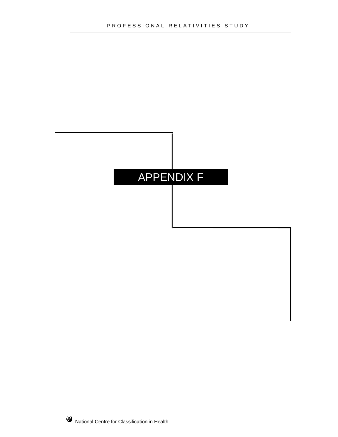### APPENDIX F

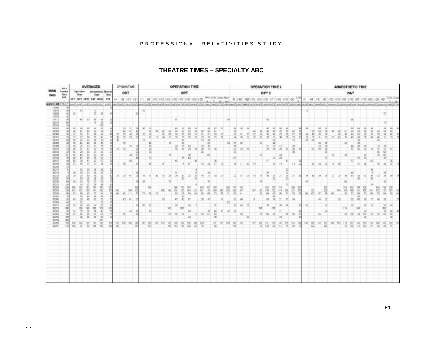#### **THEATRE TIMES – SPECIALTY ABC**

|                           | <b>brick</b>    |                         |                   |             | <b>AVERAGES</b>                |                                      |                  |                          | OP SHIMTIME                      |                             |              |            |    |                                                                         |          |                          |                |                | <b>OPERATION TIME</b> |              |               |              |               |                |          |                 |           |              | <b>OPERATION TIME 2</b>     |              |                 |             |                                                                                     |            |                      |                |             |     |          |                 |                | ANAESTHETIC TIME |                |     |             |                                                                                                   |          |
|---------------------------|-----------------|-------------------------|-------------------|-------------|--------------------------------|--------------------------------------|------------------|--------------------------|----------------------------------|-----------------------------|--------------|------------|----|-------------------------------------------------------------------------|----------|--------------------------|----------------|----------------|-----------------------|--------------|---------------|--------------|---------------|----------------|----------|-----------------|-----------|--------------|-----------------------------|--------------|-----------------|-------------|-------------------------------------------------------------------------------------|------------|----------------------|----------------|-------------|-----|----------|-----------------|----------------|------------------|----------------|-----|-------------|---------------------------------------------------------------------------------------------------|----------|
| <b>MBS</b><br><b>Bem</b>  | Service<br>Time |                         | Operation<br>Time |             | lass.                          | Anwenhede: Theatre<br>Time           |                  |                          | OST                              |                             |              |            |    |                                                                         |          |                          | OPT            |                |                       |              |               |              |               |                |          |                 |           |              | OPT <sub>2</sub>            |              |                 |             |                                                                                     |            |                      |                |             |     |          |                 | OAT            |                  |                |     |             |                                                                                                   |          |
|                           | <b>MC</b>       |                         |                   |             | DAT GPT OPTI GAT GATE          | THE                                  |                  |                          |                                  | HE HE HET HET               |              |            |    | HT HE HTD HTS HTS HTE HTT HTS HTD HDD                                   |          |                          |                |                |                       |              |               |              | CAN Delot Han | HE.            | HBA HORT |                 |           |              | HIS HIS HIS HIT HIS HIS HO. |              |                 |             |                                                                                     |            | $+11 + 14$           | H              |             |     |          | HTS HTS HTS HTT |                |                  |                |     | H30 H21     |                                                                                                   | CAN Dels |
| MRSNUM IITILI.            |                 |                         |                   |             | <b>LUVATIONATION TRAVETION</b> |                                      |                  |                          |                                  | AGE HAS THE GENERAL         |              |            |    | 00051740085740008749008744009744009749008749008740008548440008700874844 |          |                          |                |                |                       |              |               |              |               |                |          |                 |           |              |                             |              |                 |             | which Timber 2014 and The Science President in the Free Acre's work to possible and |            |                      |                |             |     |          |                 |                |                  |                |     |             | PROJECT HELP PROJECT PRODUCT PRODUCT IN SOLUTION CONTRIBUING ON A PRODUCT COOLEY CROSS CONTRACTOR |          |
| TIEG<br>$\frac{188}{180}$ |                 |                         |                   |             | 포                              |                                      |                  |                          |                                  |                             | 13           |            |    |                                                                         |          |                          |                |                |                       |              |               |              |               |                |          |                 |           |              |                             |              |                 |             |                                                                                     |            | $^{13}$              |                |             |     |          |                 |                |                  |                |     |             |                                                                                                   |          |
| TIGG                      |                 | $\overline{\mathbf{u}}$ |                   |             |                                | ×                                    |                  |                          |                                  |                             |              |            |    |                                                                         |          |                          |                |                |                       |              |               |              |               |                |          |                 |           |              |                             |              |                 |             |                                                                                     |            |                      |                |             |     |          |                 |                |                  |                |     |             |                                                                                                   |          |
| $\overline{\text{um}}$    |                 |                         | A6                |             | 68                             | Ex at                                |                  |                          |                                  |                             |              |            |    |                                                                         |          |                          |                |                |                       |              |               |              |               |                |          |                 |           |              |                             |              |                 |             |                                                                                     |            |                      |                |             |     |          |                 |                |                  |                |     |             | B                                                                                                 |          |
| 第2                        |                 |                         |                   |             | ш                              |                                      |                  |                          |                                  |                             |              |            |    |                                                                         |          |                          |                |                |                       |              |               |              |               |                |          |                 |           |              |                             |              |                 |             |                                                                                     |            |                      |                |             |     |          |                 |                |                  |                |     |             |                                                                                                   |          |
|                           |                 |                         | 11                |             | 留置                             | 花菜菜                                  |                  |                          | NAME                             | W.<br>×,<br>$\frac{16}{52}$ |              | ATA REA    | 涵  | 488                                                                     | 黄原       | <b>MAILR</b>             | 计可定义           | 医耳道            | 用某片对                  | <b>MRX22</b> | <b>ARRAIN</b> | <b>DESER</b> | $\frac{3}{2}$ | NSI NSK        |          |                 | 長沢        | 经对联          | dis it is                   | 经年度          | <b>MONTH</b>    | <b>MARK</b> | <b>MNE</b>                                                                          | š          |                      | 同形             | <b>MARK</b> | ю   | 芸芸       | 医原              | 加加加速           | 加拉里耳             | 网页米            | 高河市 | <b>Risk</b> | AS R.R.                                                                                           | 加速中间     |
| 鹦鹉                        |                 |                         |                   |             |                                |                                      |                  | <b>RSK</b>               |                                  |                             |              |            | w  |                                                                         |          |                          |                |                |                       |              |               |              |               |                |          |                 |           |              |                             |              |                 |             |                                                                                     |            | 蓋<br>谈               |                |             |     |          |                 |                |                  |                |     |             |                                                                                                   |          |
| 3236                      |                 |                         | 12                |             | 再                              | $\overline{48}$<br>$\mathbf{u}$<br>ÿ |                  |                          | 38                               | ×                           |              |            |    |                                                                         | 11       |                          |                |                |                       |              | 66            |              |               | 61             | 62       |                 |           | $\equiv$     |                             | <b>MAIR</b>  |                 |             |                                                                                     |            |                      | 15             | 40<br>š     |     |          | 21              |                |                  |                |     |             |                                                                                                   |          |
| 認証                        |                 |                         |                   |             | ú                              | 42                                   |                  | ×                        | 校                                |                             |              | 888        |    |                                                                         |          |                          | $\frac{1}{20}$ | ä              | ×                     | M M<br>и     | 조             |              |               | 禁留<br>э        | 26.      | $\overline{41}$ |           |              |                             |              | 当               | XI.         | 꿣                                                                                   |            | $\alpha$             |                |             |     |          |                 | 븘              | 55               |                |     | и<br>紙      |                                                                                                   |          |
| 第198<br>第199              | ir.             |                         | $\frac{1}{15}$    |             |                                |                                      |                  |                          |                                  | 4.8                         |              | 95         |    |                                                                         | 19       |                          | z              | II.            |                       |              | <b>P.TE</b>   |              |               | <b>KIT</b>     |          |                 |           | ä            |                             | ×            | $\frac{11}{40}$ |             |                                                                                     |            |                      |                |             | n   |          |                 |                | 53               | $\frac{1}{24}$ |     | $\pi$       | 588                                                                                               |          |
| 龞                         |                 | 13                      | X<br>w            | ă1<br>$T^*$ | SEGS                           | 计形成计<br>$\overline{\mathcal{M}}$     |                  | 11                       | 16                               | m                           |              | w          |    | TF                                                                      |          |                          |                | 1F             | ×                     | til.         | 28            | 11.          | 18            | 19 11.         |          | 22              | $10^{-1}$ |              |                             | 11           | 18              | ×.          | 12                                                                                  | я          | <b>x</b>             | $\overline{z}$ | 23          | 12  | ×        |                 |                | ×                | 26             |     | 15          | 21                                                                                                | š        |
|                           |                 |                         |                   |             |                                |                                      |                  |                          |                                  |                             |              |            |    |                                                                         |          |                          |                |                |                       |              |               |              |               |                |          |                 |           |              |                             |              |                 |             |                                                                                     |            |                      |                |             |     |          |                 |                |                  |                |     |             |                                                                                                   |          |
|                           |                 |                         | $\mathbb{R}$      |             | 蓝斑                             | NERN                                 |                  | $\overline{\mathcal{R}}$ |                                  | 11<br><b>31</b>             |              |            | m  | 11                                                                      |          | $\overline{\mathcal{H}}$ |                |                | 읖                     | 18           | $\equiv$      | $\mathbb{R}$ | Ξ             | $\overline{a}$ |          | $\overline{1}$  | 18        | $\mathbb{R}$ | $\equiv$                    |              |                 |             |                                                                                     | <b>ALC</b> |                      | 28             |             |     |          | ×               | $\overline{u}$ |                  |                |     |             |                                                                                                   |          |
|                           |                 | 28                      |                   |             |                                |                                      |                  |                          | $\overline{a}$                   |                             | $\mathbb{N}$ | TF.        |    |                                                                         | $\equiv$ |                          | $\pi$          | $\overline{z}$ |                       |              |               |              |               |                | $\pi$    |                 |           |              |                             | $\mathbb{Z}$ | Ħ               | 픏           | zr.                                                                                 |            | 28<br>$\overline{m}$ |                | ×           | 12  | $\equiv$ |                 |                | $\overline{1}$   | $\overline{w}$ |     |             |                                                                                                   |          |
|                           |                 |                         |                   |             | э                              | ×                                    |                  |                          |                                  |                             |              |            |    |                                                                         |          |                          |                |                |                       |              |               |              |               |                |          |                 |           |              |                             |              |                 |             |                                                                                     |            |                      |                |             |     |          |                 |                |                  |                |     |             |                                                                                                   |          |
|                           | 898             | 131                     |                   |             | 193<br>(a)                     | 190<br>19)<br>設어                     | $\frac{100}{90}$ |                          | $\frac{100}{11}$                 |                             |              |            |    | HX                                                                      | 60       | 185<br>월                 | 男の魚            | III.           | 멂                     | ı            | 冒险            | 屬            | 鹽             | 悠              | 深ま       |                 | W         | 쮮            | 838                         | 切除           | 冊               |             | 道如                                                                                  |            | 쓺                    |                | 838         |     | IT4      | 防湿              | 隔房             | 巡回               | 隔唇             | 젧   | 脳膜炎         | 研究<br>ÿ                                                                                           |          |
|                           |                 |                         | 30                |             | 46                             | ш<br>$\overline{\mathbf{x}}$         |                  |                          | 47                               |                             |              | $\omega$   |    |                                                                         |          |                          | 前方             |                |                       |              |               |              |               |                |          |                 |           |              |                             | 씚            |                 |             |                                                                                     |            | ωí                   |                |             |     |          |                 |                | 48               |                |     |             |                                                                                                   |          |
|                           |                 |                         |                   |             | in                             | $^{28}$<br>$\alpha$                  |                  |                          | 40                               | YJ                          |              |            |    | 19                                                                      |          | W.                       |                | 17'            |                       | ×            |               |              | 79            | 70             | 60       |                 |           |              |                             |              |                 | m           |                                                                                     |            |                      |                |             |     |          |                 |                | $\overline{60}$  |                |     |             |                                                                                                   |          |
|                           |                 |                         | HK                | 18C)        |                                | 前向出进河<br>30                          |                  |                          |                                  |                             | m            | 14         |    |                                                                         | 100      | ×                        | 3T             | ы              |                       |              |               |              |               | 汹              | 61       | 17              |           | 100          |                             | 216          |                 |             |                                                                                     |            |                      |                | э           |     |          | 116             | 涎              | isi              |                | н   |             | 医运算法                                                                                              |          |
|                           | BoxB            | 71                      | 304               | 4           | u oa da                        |                                      |                  |                          |                                  | 42                          |              |            |    |                                                                         | ×        |                          |                | W              | 41                    | w            | ž             | 盤            |               | R              | ×        |                 |           | y            |                             |              |                 | 4           |                                                                                     |            |                      |                |             |     |          | ×               | 30             | 4f               | 즚              | 3a  | 72          |                                                                                                   | 888      |
|                           | <b>MO</b>       |                         |                   |             |                                |                                      |                  |                          |                                  |                             |              |            |    |                                                                         |          |                          |                |                |                       |              |               | k            |               |                |          |                 |           |              |                             |              | ы               |             |                                                                                     |            |                      |                |             |     |          |                 |                |                  |                |     |             |                                                                                                   |          |
|                           | 翳               | 100                     |                   |             | 切缩                             | 翌<br>慰望                              | 찙                |                          | $\overline{\mathrm{MS}}$<br>12.5 | 145                         | $\infty$     | 155<br>107 | 86 | (3)                                                                     | 留        | 鼉                        | $\frac{1}{2}$  | 壒              | 꾶                     | 望            |               | 뮓            | 38            | 搹              | 96       |                 | w         | 쬪            | 邕                           | 띭            | 篮               | 뱱           | 贤                                                                                   | 粥<br>135   | 쁪                    | 122            | 锯           | 101 | 154      | 뷏               | 쁂              | 幕                | 諁              | 뿣   | 螴           | 謌                                                                                                 |          |
|                           |                 |                         |                   |             |                                |                                      |                  |                          |                                  |                             |              |            |    |                                                                         |          |                          |                |                |                       |              |               |              |               |                |          |                 |           |              |                             |              |                 |             |                                                                                     |            |                      |                |             |     |          |                 |                |                  |                |     |             |                                                                                                   |          |
|                           |                 |                         |                   |             |                                |                                      |                  |                          |                                  |                             |              |            |    |                                                                         |          |                          |                |                |                       |              |               |              |               |                |          |                 |           |              |                             |              |                 |             |                                                                                     |            |                      |                |             |     |          |                 |                |                  |                |     |             |                                                                                                   |          |
|                           |                 |                         |                   |             |                                |                                      |                  |                          |                                  |                             |              |            |    |                                                                         |          |                          |                |                |                       |              |               |              |               |                |          |                 |           |              |                             |              |                 |             |                                                                                     |            |                      |                |             |     |          |                 |                |                  |                |     |             |                                                                                                   |          |
|                           |                 |                         |                   |             |                                |                                      |                  |                          |                                  |                             |              |            |    |                                                                         |          |                          |                |                |                       |              |               |              |               |                |          |                 |           |              |                             |              |                 |             |                                                                                     |            |                      |                |             |     |          |                 |                |                  |                |     |             |                                                                                                   |          |
|                           |                 |                         |                   |             |                                |                                      |                  |                          |                                  |                             |              |            |    |                                                                         |          |                          |                |                |                       |              |               |              |               |                |          |                 |           |              |                             |              |                 |             |                                                                                     |            |                      |                |             |     |          |                 |                |                  |                |     |             |                                                                                                   |          |
|                           |                 |                         |                   |             |                                |                                      |                  |                          |                                  |                             |              |            |    |                                                                         |          |                          |                |                |                       |              |               |              |               |                |          |                 |           |              |                             |              |                 |             |                                                                                     |            |                      |                |             |     |          |                 |                |                  |                |     |             |                                                                                                   |          |
|                           |                 |                         |                   |             |                                |                                      |                  |                          |                                  |                             |              |            |    |                                                                         |          |                          |                |                |                       |              |               |              |               |                |          |                 |           |              |                             |              |                 |             |                                                                                     |            |                      |                |             |     |          |                 |                |                  |                |     |             |                                                                                                   |          |
|                           |                 |                         |                   |             |                                |                                      |                  |                          |                                  |                             |              |            |    |                                                                         |          |                          |                |                |                       |              |               |              |               |                |          |                 |           |              |                             |              |                 |             |                                                                                     |            |                      |                |             |     |          |                 |                |                  |                |     |             |                                                                                                   |          |
|                           |                 |                         |                   |             |                                |                                      |                  |                          |                                  |                             |              |            |    |                                                                         |          |                          |                |                |                       |              |               |              |               |                |          |                 |           |              |                             |              |                 |             |                                                                                     |            |                      |                |             |     |          |                 |                |                  |                |     |             |                                                                                                   |          |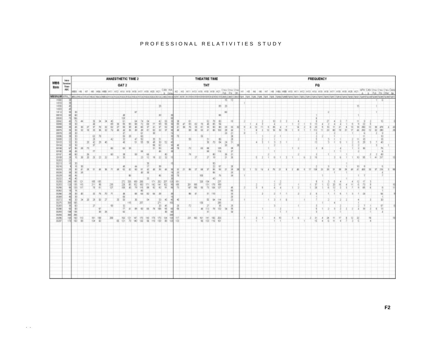#### PROFESSIONAL RELATIVITIES STUDY

|                                                                                                                                                                                                                                                                                                                                                                                                                                                                                                                                                                                                                                                            | Intra                                   |                                                                                                                                                                                                                                        |                                                                                   |                               |                                           |                              |                       |                                   |        |                               | ANAESTHETIC TIME 2 |                                    |                                          |                                                                          |                                         |                                                                   |                                                                                                                     |                                                                                             |                                          |                                      |                                                     | THEATRE TIME                                 |                                               |                                                   |                                                      |                         |                                               |                |                    |       |       |           |   |               |    |  |     |   | <b>FREQUENCY</b>  |    |   |     |          |                |                                         |        |    |                |             |               |  |
|------------------------------------------------------------------------------------------------------------------------------------------------------------------------------------------------------------------------------------------------------------------------------------------------------------------------------------------------------------------------------------------------------------------------------------------------------------------------------------------------------------------------------------------------------------------------------------------------------------------------------------------------------------|-----------------------------------------|----------------------------------------------------------------------------------------------------------------------------------------------------------------------------------------------------------------------------------------|-----------------------------------------------------------------------------------|-------------------------------|-------------------------------------------|------------------------------|-----------------------|-----------------------------------|--------|-------------------------------|--------------------|------------------------------------|------------------------------------------|--------------------------------------------------------------------------|-----------------------------------------|-------------------------------------------------------------------|---------------------------------------------------------------------------------------------------------------------|---------------------------------------------------------------------------------------------|------------------------------------------|--------------------------------------|-----------------------------------------------------|----------------------------------------------|-----------------------------------------------|---------------------------------------------------|------------------------------------------------------|-------------------------|-----------------------------------------------|----------------|--------------------|-------|-------|-----------|---|---------------|----|--|-----|---|-------------------|----|---|-----|----------|----------------|-----------------------------------------|--------|----|----------------|-------------|---------------|--|
| <b>MBS</b><br><b>Rem</b>                                                                                                                                                                                                                                                                                                                                                                                                                                                                                                                                                                                                                                   | <b>Service</b><br>Time                  |                                                                                                                                                                                                                                        |                                                                                   |                               |                                           |                              |                       |                                   |        | OAT 2                         |                    |                                    |                                          |                                                                          |                                         |                                                                   |                                                                                                                     |                                                                                             |                                          |                                      |                                                     |                                              | THT                                           |                                                   |                                                      |                         |                                               |                |                    |       |       |           |   |               |    |  |     |   |                   | FQ |   |     |          |                |                                         |        |    |                |             |               |  |
| MRINUM/IPPA Tamponeus/intoxinaus/mass/mass-mass/assistential/mass/assistential/intoapprovision/intoapprovision/intoapprovision/intoapprovision/intoapprovision/intoapprovision/intoapprovision/intoapprovision/intoapprovision                                                                                                                                                                                                                                                                                                                                                                                                                             | ABC                                     | <b>ABST</b>                                                                                                                                                                                                                            | 148                                                                               | HI                            | $+4/1$                                    |                              |                       |                                   |        |                               |                    |                                    |                                          |                                                                          | HIS RELEASE HIS HIS HIS RELEASE HIS HIS |                                                                   | CM41 July                                                                                                           |                                                                                             | H2 H3 H11 H13 H16 H18 H18 H21 DNA DNA OR |                                      |                                                     |                                              |                                               |                                                   |                                                      |                         |                                               |                | HT.                | $+11$ | $+41$ |           |   |               |    |  |     |   |                   |    |   |     |          |                | HIS HIS HIS HIS HIS HIT HIS HIS HIS HIS |        |    |                |             | Dus Das Orter |  |
|                                                                                                                                                                                                                                                                                                                                                                                                                                                                                                                                                                                                                                                            |                                         |                                                                                                                                                                                                                                        |                                                                                   |                               |                                           |                              |                       |                                   |        |                               |                    |                                    |                                          |                                                                          |                                         |                                                                   |                                                                                                                     |                                                                                             |                                          |                                      |                                                     |                                              |                                               |                                                   |                                                      |                         |                                               |                |                    |       |       |           |   |               |    |  |     |   |                   |    |   |     |          |                |                                         |        |    |                |             |               |  |
| 1000<br>11533<br>1912<br>33310<br>$\frac{1000}{1000}$<br>XX88<br><b>SKI'L</b><br>100%<br>100%<br>100%<br>10413<br>30134<br>32166<br>取關<br>$\frac{374}{378}$<br>$\begin{tabular}{ c c } \hline \hline \multicolumn{3}{ c }{\textbf{X001}} \\ \hline \multicolumn{3}{ c }{\textbf{X001}} \\ \hline \multicolumn{3}{ c }{\textbf{X001}} \\ \hline \multicolumn{3}{ c }{\textbf{X001}} \\ \hline \multicolumn{3}{ c }{\textbf{X001}} \\ \hline \multicolumn{3}{ c }{\textbf{X001}} \\ \hline \multicolumn{3}{ c }{\textbf{X001}} \\ \hline \multicolumn{3}{ c }{\textbf{X001}} \\ \hline \multicolumn{3}{ c $<br><b>REGISTER</b><br>3363<br>3238<br><b>KOW</b> | 47<br>20<br>эl<br>ы<br>ă<br>ă<br>쁴<br>녧 | m<br>30<br>쀦<br>×<br>×<br>$\mathbb{Z}$<br><b>YO</b><br>W.<br>$\overline{B}$<br>ю<br>$\overline{v}$<br>X<br><b>E</b><br>$\mathcal{R}$<br>$+1$<br>$\mathcal{L}$<br>988<br>'n<br>$\boldsymbol{x}$<br>$\frac{8}{30}$<br>100元<br>136<br>医脑炎 | 48<br>x<br>36<br>$\mathbf{H}$<br>$\mathcal{L}$<br>留言<br>$\overline{a}$<br>y,<br>쎫 | $\overline{2}$<br>n<br>츐<br>ж | ö<br>×<br>TI.<br>高光屏<br>$\mathbb{Z}$<br>쁂 | в<br>n<br>ER.<br>$\sim$<br>쀻 | $\overline{a}$<br>70' | ic)<br>m<br>꾢<br><b>XI</b><br>3.6 | m<br>ĸ | <b>u</b><br>温度<br>Ħ<br>b<br>罰 | w<br>š<br>紫        | `iz<br><b>KG</b><br>警察<br>m.<br>區域 | 60<br>3f<br>E<br>高度<br>m<br>$\mathbf{u}$ | t1<br>亘<br>$\equiv$<br>$\frac{m}{m}\frac{R^2}{R}$<br>$\mathbb{R}^d$<br>뿙 | 直角河<br>π<br>ы<br>厝                      | x<br>f)<br>11<br>io<br>Bio<br>$\mathbb{H}$<br>電車<br>31<br>W,<br>深 | <b>CES</b><br>×<br>$\overline{\mathbb{Z}}$<br>5<br>$\mathbf{H}$<br>医原生<br>š<br>45<br>葡<br>$\approx$<br>жi<br>쪎<br>뀂 | 枫<br>m<br>m<br>и<br>$\pi$<br>$\mathbb{H}$<br>21<br>$\overline{\phantom{a}}$<br>留置<br>ă<br>描 | 31                                       | E)<br>測<br>h<br>꾒<br>$_{\rm H}$<br>群 | ü<br>$\overline{a}$<br>껿<br>$\mathbf{H}$<br>211 100 | àí<br>in<br>133<br>536<br>w<br>130<br>ж<br>覆 | a<br>ü<br>$\mathbf{H}$<br>端<br>113.<br>n<br>鬧 | w<br>w<br>뿂<br>$11$ TE<br>ы<br>$\mathcal{H}$<br>覆 | 厥<br>븞<br>ü<br>TR<br>TIE<br>w<br>B<br>114<br>巡逻<br>즶 | 15<br>m<br>$\mathbf{H}$ | <b>H</b><br>n<br>×<br>w<br>ä<br>昌<br>磁<br>三角河 | $\mathbb{R}^2$ | $\boldsymbol{\Pi}$ |       |       | $12 - 14$ | т | $\mathcal{N}$ | 71 |  | Tai | w | 113<br>128<br>TF. | 21 | × | `BI | $\equiv$ | $\mathbb{R}^2$ | $\mathbb{R}^2$                          | w<br>w | 20 | 13<br>41 41 11 | 41<br>27.7% | 20            |  |
|                                                                                                                                                                                                                                                                                                                                                                                                                                                                                                                                                                                                                                                            |                                         |                                                                                                                                                                                                                                        |                                                                                   |                               |                                           |                              |                       |                                   |        |                               |                    |                                    |                                          |                                                                          |                                         |                                                                   |                                                                                                                     |                                                                                             |                                          |                                      |                                                     |                                              |                                               |                                                   |                                                      |                         |                                               |                |                    |       |       |           |   |               |    |  |     |   |                   |    |   |     |          |                |                                         |        |    |                |             |               |  |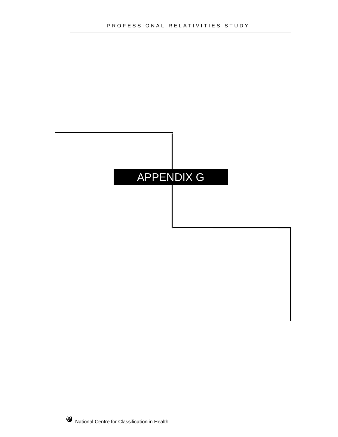# APPENDIX G

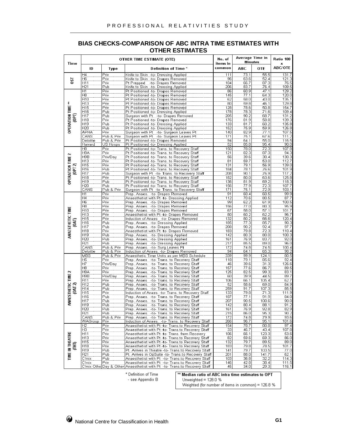| <b>BIAS CHECKS-COMPARISON OF ABC INTRA TIME ESTIMATES WITH</b> |
|----------------------------------------------------------------|
| <b>OTHER ESTIMATES</b>                                         |

| Time                                 |                        |                          | OTHER TIME ESTIMATE (OTE)                                                                                  | No. of<br>items in |                                            | Average Time in<br><b>Minutes</b> | Ratio 100<br>×                                                                                                                                                  |
|--------------------------------------|------------------------|--------------------------|------------------------------------------------------------------------------------------------------------|--------------------|--------------------------------------------|-----------------------------------|-----------------------------------------------------------------------------------------------------------------------------------------------------------------|
|                                      | ID                     | Type                     | Definition of Time *                                                                                       | common             | ABC                                        | OTE                               | ABC/OTE                                                                                                                                                         |
|                                      | H4                     | Priv                     | Knife to Skin -to- Dressing Applied                                                                        | 111                | 73.1                                       | 55.5                              | 131.7                                                                                                                                                           |
| 50                                   | H6<br>HT1              | Priv<br>Priv             | Knife to Skin -to- Drapes Removed<br>Pt Prepped<br>-to- Drapes Removed                                     | 96<br>104          | 63.6<br>66.7                               | 52.4<br>87.3                      | $\frac{121.3}{76.5}$                                                                                                                                            |
|                                      | H21                    | Püb                      | Knife to Skin -to- Dressing Applied                                                                        | 206                | 83.7                                       | 76.4                              | 109.5                                                                                                                                                           |
|                                      | $\overline{H1}$<br>ĤÖ  | Priv                     | Pt Positioned -to- Drapes Removed<br>Pt Positioned -to- Drapes Removed                                     | 86<br>145          | 60.9<br>77.1                               | 47.1<br>64.3                      | 129.2<br>120.0                                                                                                                                                  |
|                                      | ĤÏÖ                    | Priv<br>Priv             | Pt Positioned -to- Drapes Removed                                                                          | 62                 | 58.0                                       | 43.0                              | 135.1                                                                                                                                                           |
|                                      | H13                    | Priv                     | Pt Positioned -to- Drapes Removed                                                                          | 80                 | 59.8                                       | 46.1                              | 129.8                                                                                                                                                           |
|                                      | H15<br>H16             | Priv<br>Püb              | Pt Positioned -to- Drapes Removed<br>Pt Positioned -to- Dressing Applied                                   | 128<br>178         | 78.6<br>78.3                               | 50.8<br>71.6                      | 154.7<br>109.4                                                                                                                                                  |
|                                      | Hĩ7                    | Püb                      | Surgeon with Pt -to- Drapes Removed                                                                        | 205                | 90.2                                       | 68.7                              | 131.2                                                                                                                                                           |
| OPERATION TIME <del>™</del><br>(OPT) | H18                    | Priv                     | Pt Positioned -to- Drapes Removed                                                                          | 176                | $\frac{67.5}{81.7}$                        | 58.8                              | 139.3                                                                                                                                                           |
|                                      | H19<br>H20             | Pub<br>Pub               | Pt Positioned -to- Dressing Applied<br>Pt Positioned -to- Dressing Applied                                 | 133<br>152         | 75.9                                       | 60.2                              | 135.8<br>126.8                                                                                                                                                  |
|                                      | ÄPHÄ                   | Priv                     | Surgeon with Pt -to- Surgeon Leaves Pt                                                                     | 140                | 82.9                                       | -59.9<br>77.1                     | 107.5                                                                                                                                                           |
|                                      | CANS                   | Pub & Priv<br>Pub & Priv | Surgeon with Pt -to- Surgeon Leaves Pt                                                                     | 171                | 75.1                                       | 67.6                              | 111.2                                                                                                                                                           |
|                                      | Deloitte<br>Harvard    | US Hosps                 | Pt Positioned -to- Drapes Removed<br>Pt Positioned -to- Dressing Applied                                   | 94<br>52           | 64.1<br>85.8                               | 55.O<br>95.4                      | 116.5<br>90.O                                                                                                                                                   |
|                                      | $\overline{H8}$        | :Priv                    | Pt Positioned -to- Trans, to Recovery Staff                                                                | 150                | 78.0                                       | 72.3                              | 107.8                                                                                                                                                           |
|                                      | H9Ä                    | :Priv                    | Pt Positioned -to- Trans, to Recovery Staff                                                                | 121                | 82.3                                       | 87.3                              | 94.3                                                                                                                                                            |
| OPERATION TIME 2                     | H9B<br>H13             | Priv/Day<br>Priv         | Pt Positioned -to- Trans. to Recovery Staff<br>Pt Positioned -to- Trans. to Recovery Staff                 | 56<br>81           | 39.6<br>59.7                               | 30.4<br>53.0                      | 130.3<br>112.7                                                                                                                                                  |
|                                      | H15                    | Priv                     | Pt Positioned -to- Trans. to Recovery Staff                                                                | 131                | 79.1                                       | 56.9                              | 139.0                                                                                                                                                           |
| (OPT 2)                              | H16                    | Pub                      | Pt Positioned -to- Trans. to Recovery Staff                                                                | 184                | 78.1                                       | 76.6                              | 101.9                                                                                                                                                           |
|                                      | H17<br>H18             | Pub<br>Priv              | Surgeon with Pt -to- Trans. to Recovery Staff<br>Pt Positioned -to- Trans, to Recovery Staff               | 208<br>182         | 90.1<br>80.0                               | 76.9<br>63.6                      | 117.2<br>125.8                                                                                                                                                  |
|                                      | H19                    | Pub                      | Pt Positioned -to- Trans. to Recovery Staff                                                                | 136                | 81.9                                       | 69.2                              | 118.3                                                                                                                                                           |
|                                      | Η2Ο<br>CANS            | Pub                      | Pt Positioned -to- Trans. to Recovery Staff                                                                | 156                | 77.9<br>75.1                               | 72.3<br>72.9                      | $\frac{1}{107.7}$<br>103.1                                                                                                                                      |
|                                      | H1                     | Pub & Priv<br>Priv       | Surgeon with Pt -to- Trans. to Recovery Staff<br>Prep. Anaes. -to- Drapes Removed                          | 171<br>91          | 60.4                                       | 60.5                              | 99.9                                                                                                                                                            |
|                                      | H4                     | Priv<br>Priv             | Anaesthetist with Pt -to- Dressing Applied                                                                 | 112                | 70.6                                       | 80.5                              | $\frac{1}{87.7}$                                                                                                                                                |
|                                      | Ĥ6                     |                          | Prep. Anaes. -to- Drapes Removed                                                                           | 99                 | 62.2                                       | 61.9                              | 100.5                                                                                                                                                           |
|                                      | ĤÖ<br>H10              | Priv<br>Priv             | Prep. Anaes. - to- Drapes Removed<br>Prep. Anaes. -to- Drapes Removed                                      | 156<br>Ï67         | 77.0<br>58.O                               | 80.3<br>$\overline{57.1}$         | 95.9<br>101.7                                                                                                                                                   |
|                                      | H13                    | isiir<br>Priv<br>Priv    | Anaesthetist with Pt -to- Drapes Removed                                                                   | 80                 | 60.2                                       | 62.2                              | 96.7                                                                                                                                                            |
| ANAESTHETIC TIME                     | H15                    |                          | Induction of Anaes -to- Drapes Removed                                                                     | 132                | $\frac{80.2}{77.3}$<br>$\frac{77.3}{90.2}$ | 66.6                              | 120.4                                                                                                                                                           |
| $\overline{5}$                       | H16<br>H17             | Pub<br>Pub               | Prep. Anaes. - to- Dressing Applied<br>Prep. Anaes. -to- Drapes Removed                                    | 185<br>208         |                                            | 85.7<br>92.4                      | 90.3<br>97.7                                                                                                                                                    |
|                                      | H18                    | Priv                     | Anaesthetist with Pt -to- Drapes Removed                                                                   | 183                | 79.8                                       | 72.3                              | 110.4                                                                                                                                                           |
|                                      | H19                    | Püb                      | Prep. Anaes. - to- Dressing Applied                                                                        | 142                | 80.3                                       | 80.0                              | 100.3                                                                                                                                                           |
|                                      | Ĥ20<br>H21             | Pub<br>Pub               | Prep. Anaes. - to- Dressing Applied<br>Prep. Anaes -to- Dressing Applied                                   | 161<br>217         | 76.9<br>85.5                               | 83.7<br>89.0                      | 92.0<br><br>96.Ö                                                                                                                                                |
|                                      | CANS                   | Pub & Priv               | Prep. Anaes. -to- Surg.Leaves Pt                                                                           | 172                | 74.8                                       | 74.5                              | 100.4                                                                                                                                                           |
|                                      | Deloitte               | Publ&Priv                | Induction of Anaes. - to- Drapes Removed                                                                   | '94                | 64.1                                       | 65.3                              | 98.2                                                                                                                                                            |
|                                      | <b>MBS</b><br>H5       | Pub & Priv<br>Priv       | Anaesthetic Time Units as per MBS Schedule<br>Prep. Anaes --to- Trans. to Recovery Staff                   | 339<br>118         | 99.9<br>79.1                               | 124.1<br>85.6                     | 80.5<br>92.4                                                                                                                                                    |
|                                      | Ĥ7                     | Priv/Day                 | Prep. Anaes. -to- Trans. to Recovery Staff                                                                 | 46                 | 39.6                                       | 31.3                              | 126.6                                                                                                                                                           |
|                                      | Ĥ8                     | Priv                     | Prep. Anaes --to- Trans. to Recovery Staff                                                                 | 157                | 77.6                                       | 86.7                              | 89.5                                                                                                                                                            |
| NAESTHETIC TIME 2<br>(oat 2)         | H9Ä<br>H9B             | Priv<br>Priv/Day         | Prep. Anaes. -to- Trans. to Recovery Staff                                                                 | 125<br>60          | 82.5<br>39.9                               | 99.3<br>44.5                      | 83.1                                                                                                                                                            |
|                                      | H11                    | Priv                     | Prep. Anaes -to- Trans. to Recovery Staff                                                                  | 106                | 66.1                                       | 105.4                             | 89.7<br>62.7                                                                                                                                                    |
|                                      | H12                    | Pub                      | Prep. Anaes. - to- Trans. to Recovery Staff                                                                | 52                 | 58.6                                       | 69.0                              | 84.9                                                                                                                                                            |
|                                      | H14<br>H15             | Pub<br>Priv              | Prep. Anaes. -to- Trans. to Recovery Staff<br>Induction of Anaes. - to- Trans. to Recovery Staff           | 259<br>133         | 91.7<br>79.8                               | 107.3<br>71.3                     | 85.5<br>111.9                                                                                                                                                   |
|                                      | H16                    | Pub                      | Prep. Anaes. - to- Trans. to Recovery Staff                                                                | 187                | 77.1                                       | 91.9                              | 84.0                                                                                                                                                            |
| ₹                                    | H17                    | Pub                      | Prep. Anaes. - to- Trans. to Recovery Staff                                                                | 207                | 90.5<br>$\frac{1}{60.4}$                   | 100.6                             | 90.OI                                                                                                                                                           |
|                                      | H19<br>H20             | Pub<br>Pub               | Prep. Anaes -to- Trans. to Recovery Staff<br>Prep. Anaes. - to- Trans. to Recovery Staff.                  | 142<br>161         | 76.9                                       | 88.1<br>92.8                      | $\begin{array}{r} \begin{array}{c} 0 \\ 0 \\ 1 \end{array} \\ \begin{array}{c} 0 \\ 0 \\ 2 \end{array} \\ \begin{array}{c} 0 \\ 0 \\ 0 \end{array} \end{array}$ |
|                                      | H21                    | Pub                      | Prep. Anaes. -to- Trans. to Recovery Staff                                                                 | 215                | 86.0                                       | $\frac{1}{95.3}$                  | 90.2                                                                                                                                                            |
|                                      | CANS<br>WAGroup        | Pub & Priv<br>'Priv      | Prep. Anaes. - to- Trans. to Recovery Staff.<br>Induction of Anaes. -to- Trans. to Recovery Staff          | 172<br>266         | 74.8<br>96.7                               | 79.9<br>95.1                      | 93.6<br>101.6                                                                                                                                                   |
|                                      | H2                     | Priv                     | Anaesthetist with Pt -to- Trans.to Recovery Staff                                                          | 154                | 78.7                                       | 80.8                              | 97.4                                                                                                                                                            |
|                                      | ΉÏ                     | Priv                     | Anaesthetist with Pt -to- Trans.to Recovery Staff.                                                         | 33                 | 46.7                                       | 43.4                              | 107.8                                                                                                                                                           |
|                                      | <b>H11</b><br>H13      | Priv<br>.<br>Priv        | Anaesthetist with Pt -to- Trans, from Recovery<br>Anaesthetist with Pt -to- Trans, to Recovery Staff       | 106<br>82          | 66.1<br>59.6                               | 123.3<br>69.3                     | 53.6<br>66.0                                                                                                                                                    |
|                                      | H15                    | Priv.                    |                                                                                                            | 132                | 79.7                                       | 89.5                              | 89.0                                                                                                                                                            |
|                                      | H18                    | Priv                     | Anaesthetist with Pt -to- Trans.to Recovery Staff<br>Anaesthetist with Pt -to- Trans.to Recovery Staff     | 183                | 79.8                                       | 78.5                              | 101.7                                                                                                                                                           |
|                                      | H <sub>19</sub><br>H21 | Püb<br>Pub               | Pt. Arrives in Theatre -to- Trans.to Recovery Staff<br>Pt. Arrives in OpSuite -to- Trans.to Recovery Staff | 141<br>201         | 79.7<br>88.0                               | 103.5<br>141.7                    | 77.0<br>62.1                                                                                                                                                    |
| TIME IN THEATRE<br>(Tht)             | C'mix                  | Pub                      | Anaesthetist with Pt -to- Trans.to Recovery Staff                                                          | 103                | 36.8                                       | 32.2                              | 114.3                                                                                                                                                           |
|                                      | C'mix                  | Priv                     | Anaesthetist with Pt -to- Trans.to Recovery Staff                                                          | 146                | 42.8                                       | $\frac{38.7}{38.4}$               | 111.5                                                                                                                                                           |
|                                      |                        |                          | C'mix Othe Day & Other Anaesthetist with Pt -to- Trans.to Recovery Staff                                   | 45                 | 34.O                                       | 29.3                              | 116.1                                                                                                                                                           |

\* Definition of Time

- see Appendix  $\mathsf B$ 

\*\* Median ratio of ABC intra time estimates to OPT Unweighted =  $128.0%$ 

Weighted (for number of items in common) = 126.8 %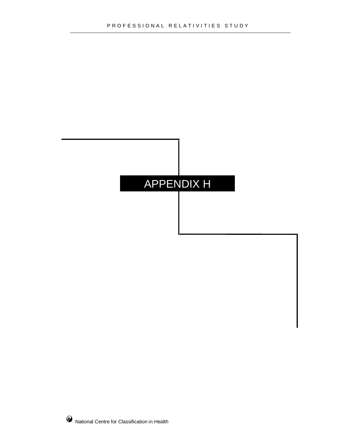### APPENDIX H

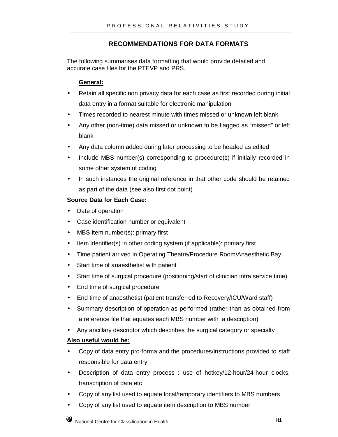#### **RECOMMENDATIONS FOR DATA FORMATS**

The following summarises data formatting that would provide detailed and accurate case files for the PTEVP and PRS.

#### **General:**

- Retain all specific non privacy data for each case as first recorded during initial data entry in a format suitable for electronic manipulation
- Times recorded to nearest minute with times missed or unknown left blank
- Any other (non-time) data missed or unknown to be flagged as "missed" or left blank
- Any data column added during later processing to be headed as edited
- Include MBS number(s) corresponding to procedure(s) if initially recorded in some other system of coding
- In such instances the original reference in that other code should be retained as part of the data (see also first dot point)

#### **Source Data for Each Case:**

- Date of operation
- Case identification number or equivalent
- MBS item number(s): primary first
- Item identifier(s) in other coding system (if applicable): primary first
- Time patient arrived in Operating Theatre/Procedure Room/Anaesthetic Bay
- Start time of anaesthetist with patient
- Start time of surgical procedure (positioning/start of clinician intra service time)
- End time of surgical procedure
- End time of anaesthetist (patient transferred to Recovery/ICU/Ward staff)
- Summary description of operation as performed (rather than as obtained from a reference file that equates each MBS number with a description)
- Any ancillary descriptor which describes the surgical category or specialty

#### **Also useful would be:**

- Copy of data entry pro-forma and the procedures/instructions provided to staff responsible for data entry
- Description of data entry process : use of hotkey/12-hour/24-hour clocks, transcription of data etc
- Copy of any list used to equate local/temporary identifiers to MBS numbers
- Copy of any list used to equate item description to MBS number